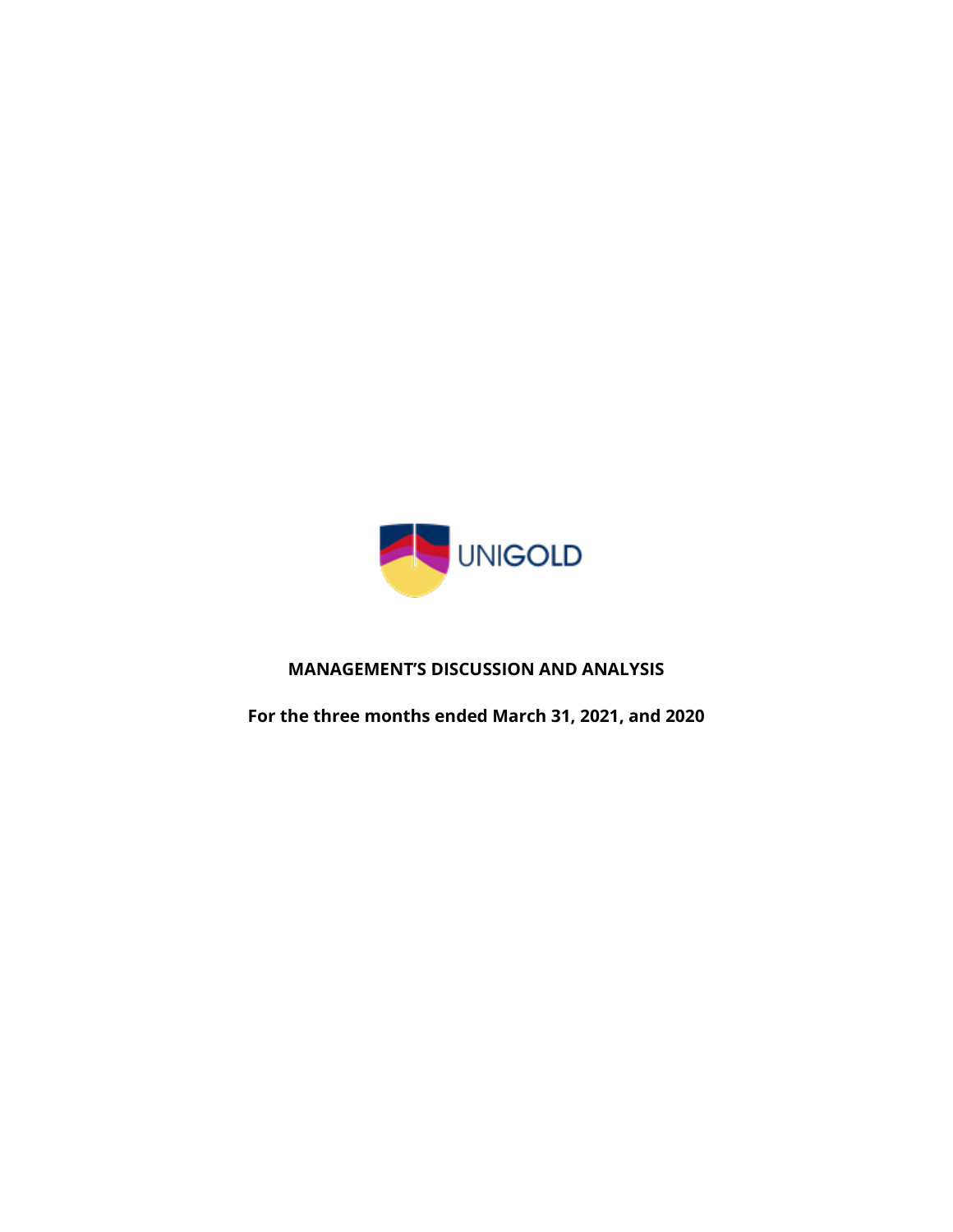

# **MANAGEMENT'S DISCUSSION AND ANALYSIS**

**For the three months ended March 31, 2021, and 2020**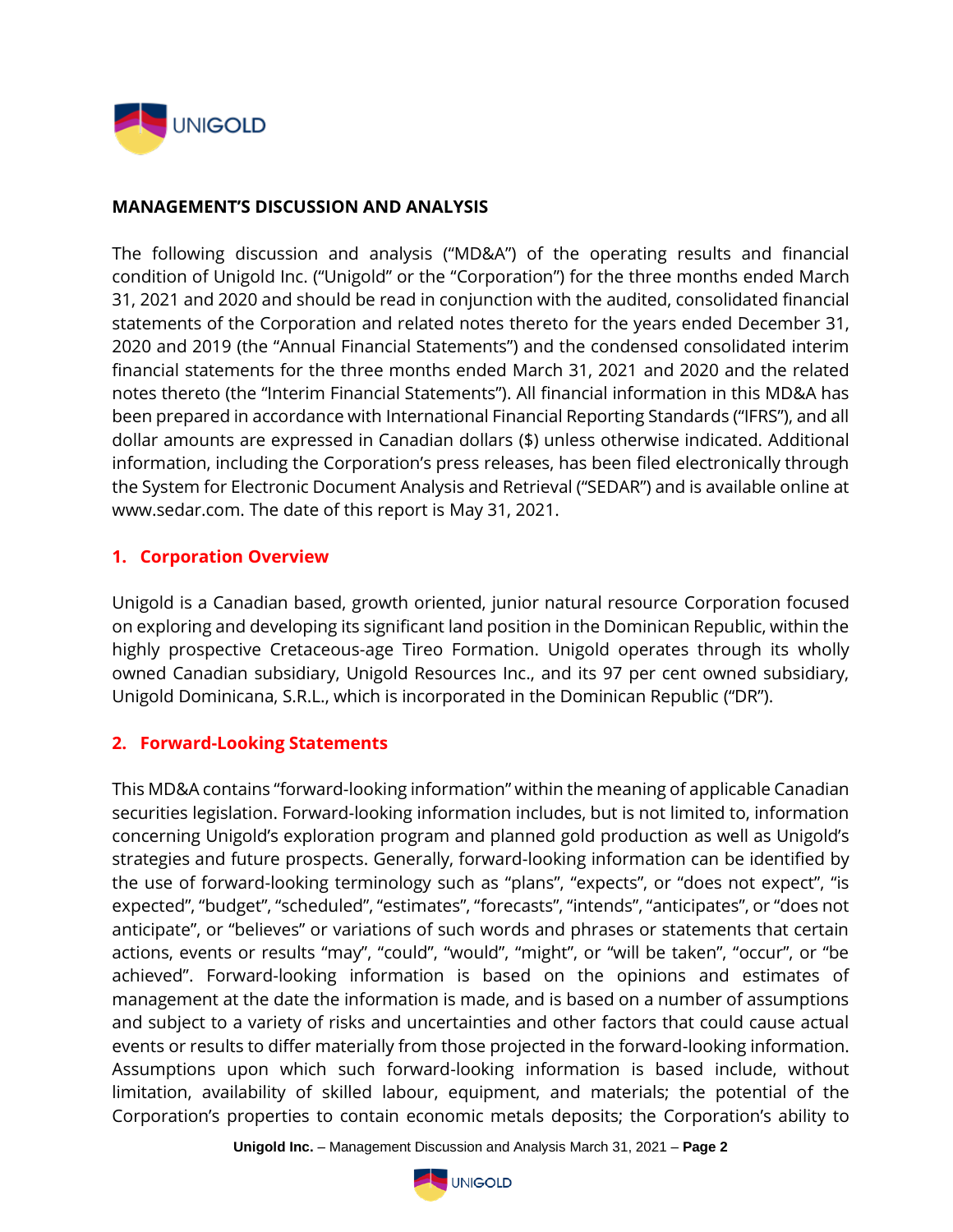

#### **MANAGEMENT'S DISCUSSION AND ANALYSIS**

The following discussion and analysis ("MD&A") of the operating results and financial condition of Unigold Inc. ("Unigold" or the "Corporation") for the three months ended March 31, 2021 and 2020 and should be read in conjunction with the audited, consolidated financial statements of the Corporation and related notes thereto for the years ended December 31, 2020 and 2019 (the "Annual Financial Statements") and the condensed consolidated interim financial statements for the three months ended March 31, 2021 and 2020 and the related notes thereto (the "Interim Financial Statements"). All financial information in this MD&A has been prepared in accordance with International Financial Reporting Standards ("IFRS"), and all dollar amounts are expressed in Canadian dollars (\$) unless otherwise indicated. Additional information, including the Corporation's press releases, has been filed electronically through the System for Electronic Document Analysis and Retrieval ("SEDAR") and is available online at www.sedar.com. The date of this report is May 31, 2021.

#### **1. Corporation Overview**

Unigold is a Canadian based, growth oriented, junior natural resource Corporation focused on exploring and developing its significant land position in the Dominican Republic, within the highly prospective Cretaceous-age Tireo Formation. Unigold operates through its wholly owned Canadian subsidiary, Unigold Resources Inc., and its 97 per cent owned subsidiary, Unigold Dominicana, S.R.L., which is incorporated in the Dominican Republic ("DR").

### **2. Forward-Looking Statements**

This MD&A contains "forward-looking information" within the meaning of applicable Canadian securities legislation. Forward-looking information includes, but is not limited to, information concerning Unigold's exploration program and planned gold production as well as Unigold's strategies and future prospects. Generally, forward-looking information can be identified by the use of forward-looking terminology such as "plans", "expects", or "does not expect", "is expected", "budget", "scheduled", "estimates", "forecasts", "intends", "anticipates", or "does not anticipate", or "believes" or variations of such words and phrases or statements that certain actions, events or results "may", "could", "would", "might", or "will be taken", "occur", or "be achieved". Forward-looking information is based on the opinions and estimates of management at the date the information is made, and is based on a number of assumptions and subject to a variety of risks and uncertainties and other factors that could cause actual events or results to differ materially from those projected in the forward-looking information. Assumptions upon which such forward-looking information is based include, without limitation, availability of skilled labour, equipment, and materials; the potential of the Corporation's properties to contain economic metals deposits; the Corporation's ability to

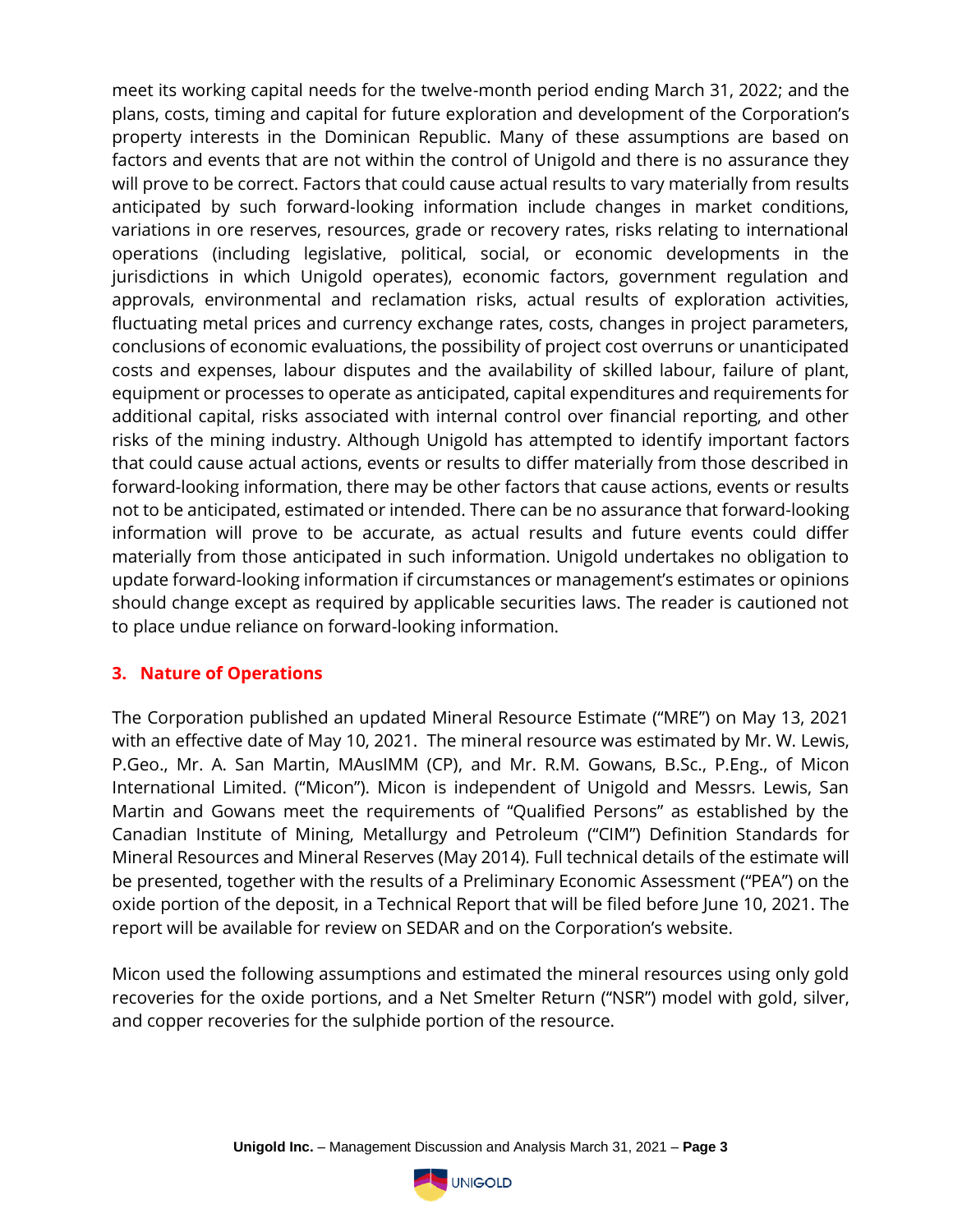meet its working capital needs for the twelve-month period ending March 31, 2022; and the plans, costs, timing and capital for future exploration and development of the Corporation's property interests in the Dominican Republic. Many of these assumptions are based on factors and events that are not within the control of Unigold and there is no assurance they will prove to be correct. Factors that could cause actual results to vary materially from results anticipated by such forward-looking information include changes in market conditions, variations in ore reserves, resources, grade or recovery rates, risks relating to international operations (including legislative, political, social, or economic developments in the jurisdictions in which Unigold operates), economic factors, government regulation and approvals, environmental and reclamation risks, actual results of exploration activities, fluctuating metal prices and currency exchange rates, costs, changes in project parameters, conclusions of economic evaluations, the possibility of project cost overruns or unanticipated costs and expenses, labour disputes and the availability of skilled labour, failure of plant, equipment or processes to operate as anticipated, capital expenditures and requirements for additional capital, risks associated with internal control over financial reporting, and other risks of the mining industry. Although Unigold has attempted to identify important factors that could cause actual actions, events or results to differ materially from those described in forward-looking information, there may be other factors that cause actions, events or results not to be anticipated, estimated or intended. There can be no assurance that forward-looking information will prove to be accurate, as actual results and future events could differ materially from those anticipated in such information. Unigold undertakes no obligation to update forward-looking information if circumstances or management's estimates or opinions should change except as required by applicable securities laws. The reader is cautioned not to place undue reliance on forward-looking information.

### **3. Nature of Operations**

The Corporation published an updated Mineral Resource Estimate ("MRE") on May 13, 2021 with an effective date of May 10, 2021. The mineral resource was estimated by Mr. W. Lewis, P.Geo., Mr. A. San Martin, MAusIMM (CP), and Mr. R.M. Gowans, B.Sc., P.Eng., of Micon International Limited. ("Micon"). Micon is independent of Unigold and Messrs. Lewis, San Martin and Gowans meet the requirements of "Qualified Persons" as established by the Canadian Institute of Mining, Metallurgy and Petroleum ("CIM") Definition Standards for Mineral Resources and Mineral Reserves (May 2014). Full technical details of the estimate will be presented, together with the results of a Preliminary Economic Assessment ("PEA") on the oxide portion of the deposit, in a Technical Report that will be filed before June 10, 2021. The report will be available for review on SEDAR and on the Corporation's website.

Micon used the following assumptions and estimated the mineral resources using only gold recoveries for the oxide portions, and a Net Smelter Return ("NSR") model with gold, silver, and copper recoveries for the sulphide portion of the resource.

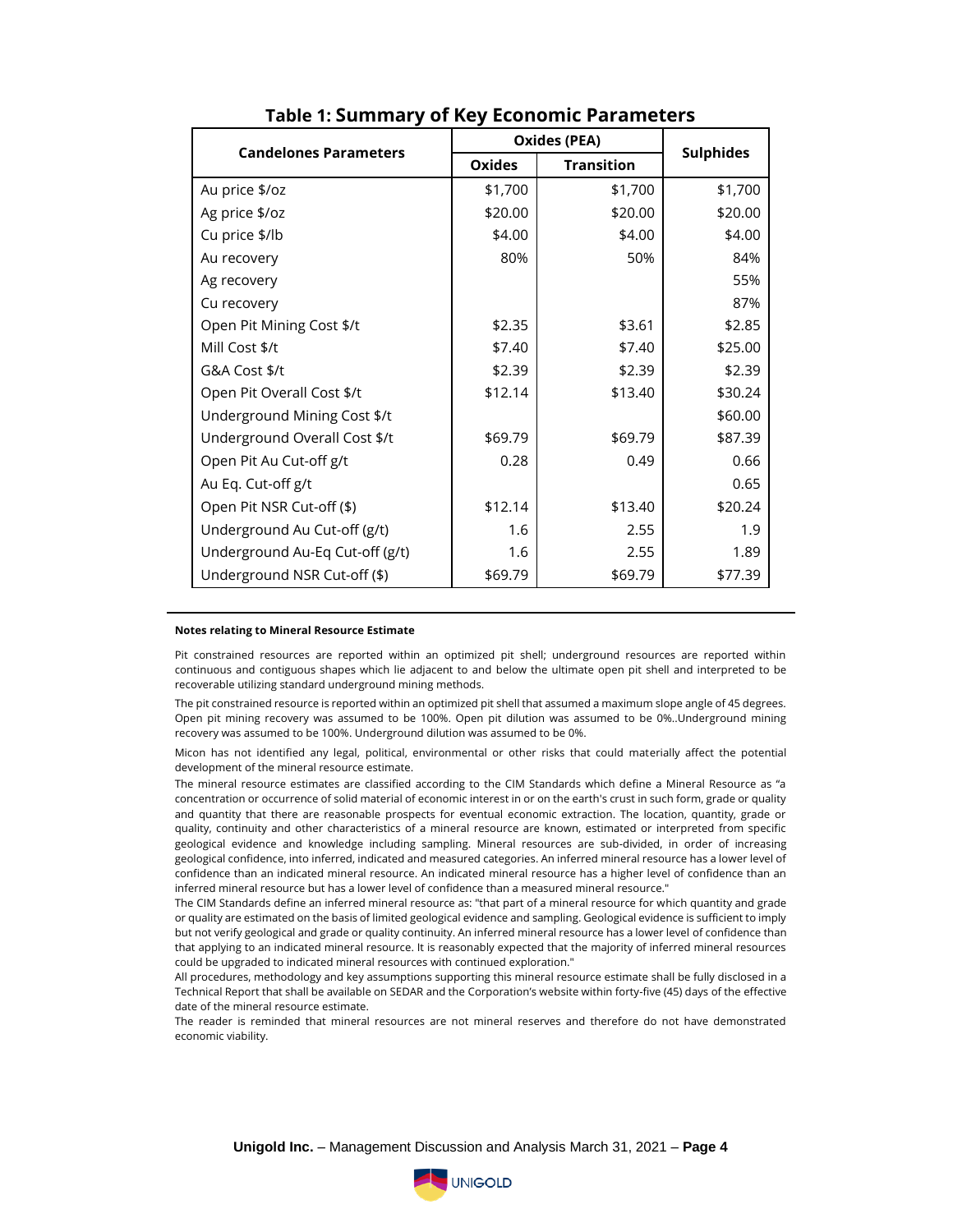| <b>Candelones Parameters</b>    | <b>Oxides (PEA)</b> |                   |                  |
|---------------------------------|---------------------|-------------------|------------------|
|                                 | Oxides              | <b>Transition</b> | <b>Sulphides</b> |
| Au price \$/oz                  | \$1,700             | \$1,700           | \$1,700          |
| Ag price \$/oz                  | \$20.00             | \$20.00           | \$20.00          |
| Cu price \$/lb                  | \$4.00              | \$4.00            | \$4.00           |
| Au recovery                     | 80%                 | 50%               | 84%              |
| Ag recovery                     |                     |                   | 55%              |
| Cu recovery                     |                     |                   | 87%              |
| Open Pit Mining Cost \$/t       | \$2.35              | \$3.61            | \$2.85           |
| Mill Cost \$/t                  | \$7.40              | \$7.40            | \$25.00          |
| G&A Cost \$/t                   | \$2.39              | \$2.39            | \$2.39           |
| Open Pit Overall Cost \$/t      | \$12.14             | \$13.40           | \$30.24          |
| Underground Mining Cost \$/t    |                     |                   | \$60.00          |
| Underground Overall Cost \$/t   | \$69.79             | \$69.79           | \$87.39          |
| Open Pit Au Cut-off g/t         | 0.28                | 0.49              | 0.66             |
| Au Eq. Cut-off g/t              |                     |                   | 0.65             |
| Open Pit NSR Cut-off (\$)       | \$12.14             | \$13.40           | \$20.24          |
| Underground Au Cut-off (g/t)    | 1.6                 | 2.55              | 1.9              |
| Underground Au-Eq Cut-off (g/t) | 1.6                 | 2.55              | 1.89             |
| Underground NSR Cut-off (\$)    | \$69.79             | \$69.79           | \$77.39          |

#### **Table 1: Summary of Key Economic Parameters**

#### **Notes relating to Mineral Resource Estimate**

Pit constrained resources are reported within an optimized pit shell; underground resources are reported within continuous and contiguous shapes which lie adjacent to and below the ultimate open pit shell and interpreted to be recoverable utilizing standard underground mining methods.

The pit constrained resource is reported within an optimized pit shell that assumed a maximum slope angle of 45 degrees. Open pit mining recovery was assumed to be 100%. Open pit dilution was assumed to be 0%..Underground mining recovery was assumed to be 100%. Underground dilution was assumed to be 0%.

Micon has not identified any legal, political, environmental or other risks that could materially affect the potential development of the mineral resource estimate.

The mineral resource estimates are classified according to the CIM Standards which define a Mineral Resource as "a concentration or occurrence of solid material of economic interest in or on the earth's crust in such form, grade or quality and quantity that there are reasonable prospects for eventual economic extraction. The location, quantity, grade or quality, continuity and other characteristics of a mineral resource are known, estimated or interpreted from specific geological evidence and knowledge including sampling. Mineral resources are sub-divided, in order of increasing geological confidence, into inferred, indicated and measured categories. An inferred mineral resource has a lower level of confidence than an indicated mineral resource. An indicated mineral resource has a higher level of confidence than an inferred mineral resource but has a lower level of confidence than a measured mineral resource."

The CIM Standards define an inferred mineral resource as: "that part of a mineral resource for which quantity and grade or quality are estimated on the basis of limited geological evidence and sampling. Geological evidence is sufficient to imply but not verify geological and grade or quality continuity. An inferred mineral resource has a lower level of confidence than that applying to an indicated mineral resource. It is reasonably expected that the majority of inferred mineral resources could be upgraded to indicated mineral resources with continued exploration."

All procedures, methodology and key assumptions supporting this mineral resource estimate shall be fully disclosed in a Technical Report that shall be available on SEDAR and the Corporation's website within forty-five (45) days of the effective date of the mineral resource estimate.

The reader is reminded that mineral resources are not mineral reserves and therefore do not have demonstrated economic viability.

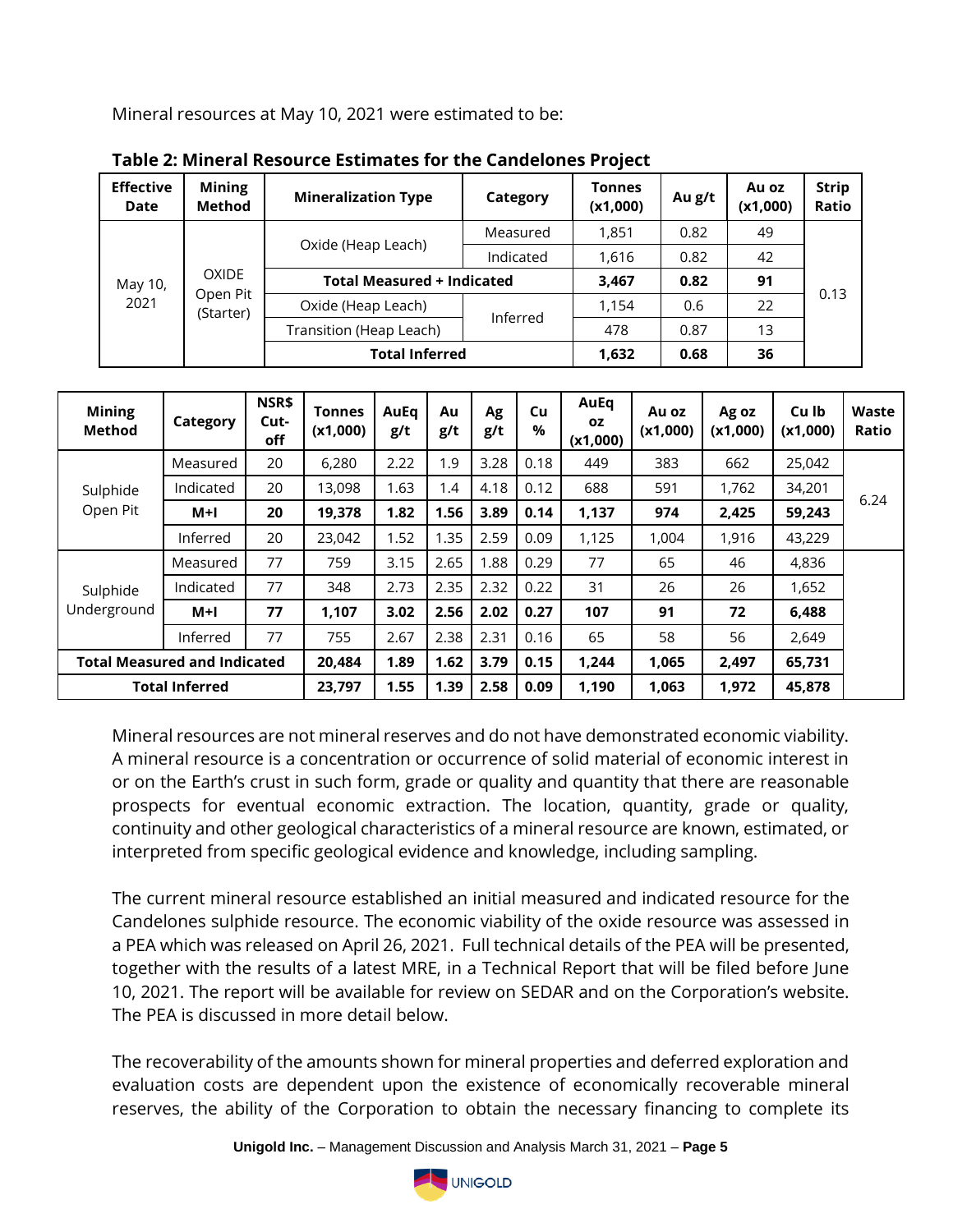Mineral resources at May 10, 2021 were estimated to be:

| <b>Effective</b><br>Date | <b>Mining</b><br><b>Method</b> | <b>Mineralization Type</b> | Category                          | <b>Tonnes</b><br>(x1,000) | Au g/t | Au oz<br>(x1,000) | <b>Strip</b><br>Ratio |  |
|--------------------------|--------------------------------|----------------------------|-----------------------------------|---------------------------|--------|-------------------|-----------------------|--|
| May 10,<br>2021          |                                |                            | Measured                          | 1,851                     | 0.82   | 49                |                       |  |
|                          |                                | Oxide (Heap Leach)         | Indicated                         | 1.616                     | 0.82   | 42                |                       |  |
|                          | <b>OXIDE</b>                   |                            | <b>Total Measured + Indicated</b> |                           | 0.82   | 91                |                       |  |
|                          | Open Pit<br>(Starter)          | Oxide (Heap Leach)         | Inferred                          | 1,154                     | 0.6    | 22                | 0.13                  |  |
|                          |                                | Transition (Heap Leach)    |                                   | 478                       | 0.87   | 13                |                       |  |
|                          |                                | <b>Total Inferred</b>      | 1,632                             | 0.68                      | 36     |                   |                       |  |

| Table 2: Mineral Resource Estimates for the Candelones Project |
|----------------------------------------------------------------|
|----------------------------------------------------------------|

| <b>Mining</b><br><b>Method</b>      | Category  | NSR\$<br>Cut-<br>off | <b>Tonnes</b><br>(x1,000) | AuEq<br>g/t | Au<br>g/t | Ag<br>g/t | Cu<br>$\%$ | AuEq<br><b>OZ</b><br>(x1,000) | Au oz<br>(x1,000) | Ag oz<br>(x1,000) | Cu lb<br>(x1,000) | Waste<br>Ratio |
|-------------------------------------|-----------|----------------------|---------------------------|-------------|-----------|-----------|------------|-------------------------------|-------------------|-------------------|-------------------|----------------|
|                                     | Measured  | 20                   | 6,280                     | 2.22        | 1.9       | 3.28      | 0.18       | 449                           | 383               | 662               | 25,042            |                |
| Sulphide                            | Indicated | 20                   | 13,098                    | 1.63        | 1.4       | 4.18      | 0.12       | 688                           | 591               | 1,762             | 34,201            |                |
| Open Pit                            | M+I       | 20                   | 19,378                    | 1.82        | 1.56      | 3.89      | 0.14       | 1,137                         | 974               | 2,425             | 59,243            | 6.24           |
|                                     | Inferred  | 20                   | 23,042                    | 1.52        | 1.35      | 2.59      | 0.09       | 1,125                         | 1,004             | 1,916             | 43,229            |                |
|                                     | Measured  | 77                   | 759                       | 3.15        | 2.65      | 1.88      | 0.29       | 77                            | 65                | 46                | 4,836             |                |
| Sulphide                            | Indicated | 77                   | 348                       | 2.73        | 2.35      | 2.32      | 0.22       | 31                            | 26                | 26                | 1,652             |                |
| Underground                         | $M+1$     | 77                   | 1,107                     | 3.02        | 2.56      | 2.02      | 0.27       | 107                           | 91                | 72                | 6,488             |                |
|                                     | Inferred  | 77                   | 755                       | 2.67        | 2.38      | 2.31      | 0.16       | 65                            | 58                | 56                | 2,649             |                |
| <b>Total Measured and Indicated</b> |           | 20,484               | 1.89                      | 1.62        | 3.79      | 0.15      | 1.244      | 1,065                         | 2,497             | 65,731            |                   |                |
| <b>Total Inferred</b>               |           |                      | 23,797                    | 1.55        | 1.39      | 2.58      | 0.09       | 1,190                         | 1,063             | 1,972             | 45,878            |                |

Mineral resources are not mineral reserves and do not have demonstrated economic viability. A mineral resource is a concentration or occurrence of solid material of economic interest in or on the Earth's crust in such form, grade or quality and quantity that there are reasonable prospects for eventual economic extraction. The location, quantity, grade or quality, continuity and other geological characteristics of a mineral resource are known, estimated, or interpreted from specific geological evidence and knowledge, including sampling.

The current mineral resource established an initial measured and indicated resource for the Candelones sulphide resource. The economic viability of the oxide resource was assessed in a PEA which was released on April 26, 2021. Full technical details of the PEA will be presented, together with the results of a latest MRE, in a Technical Report that will be filed before June 10, 2021. The report will be available for review on SEDAR and on the Corporation's website. The PEA is discussed in more detail below.

The recoverability of the amounts shown for mineral properties and deferred exploration and evaluation costs are dependent upon the existence of economically recoverable mineral reserves, the ability of the Corporation to obtain the necessary financing to complete its

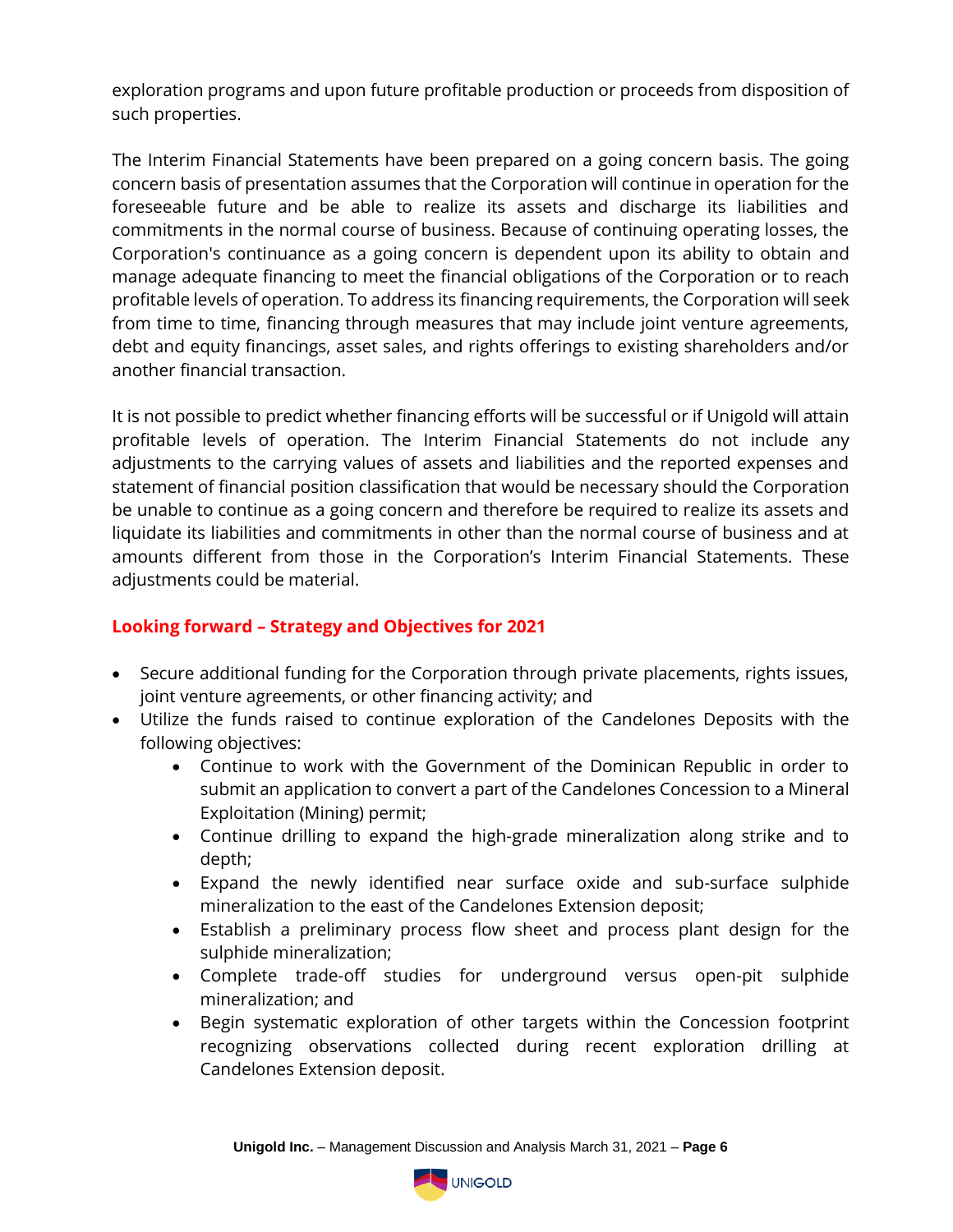exploration programs and upon future profitable production or proceeds from disposition of such properties.

The Interim Financial Statements have been prepared on a going concern basis. The going concern basis of presentation assumes that the Corporation will continue in operation for the foreseeable future and be able to realize its assets and discharge its liabilities and commitments in the normal course of business. Because of continuing operating losses, the Corporation's continuance as a going concern is dependent upon its ability to obtain and manage adequate financing to meet the financial obligations of the Corporation or to reach profitable levels of operation. To address its financing requirements, the Corporation will seek from time to time, financing through measures that may include joint venture agreements, debt and equity financings, asset sales, and rights offerings to existing shareholders and/or another financial transaction.

It is not possible to predict whether financing efforts will be successful or if Unigold will attain profitable levels of operation. The Interim Financial Statements do not include any adjustments to the carrying values of assets and liabilities and the reported expenses and statement of financial position classification that would be necessary should the Corporation be unable to continue as a going concern and therefore be required to realize its assets and liquidate its liabilities and commitments in other than the normal course of business and at amounts different from those in the Corporation's Interim Financial Statements. These adjustments could be material.

# **Looking forward – Strategy and Objectives for 2021**

- Secure additional funding for the Corporation through private placements, rights issues, joint venture agreements, or other financing activity; and
- Utilize the funds raised to continue exploration of the Candelones Deposits with the following objectives:
	- Continue to work with the Government of the Dominican Republic in order to submit an application to convert a part of the Candelones Concession to a Mineral Exploitation (Mining) permit;
	- Continue drilling to expand the high-grade mineralization along strike and to depth;
	- Expand the newly identified near surface oxide and sub-surface sulphide mineralization to the east of the Candelones Extension deposit;
	- Establish a preliminary process flow sheet and process plant design for the sulphide mineralization;
	- Complete trade-off studies for underground versus open-pit sulphide mineralization; and
	- Begin systematic exploration of other targets within the Concession footprint recognizing observations collected during recent exploration drilling at Candelones Extension deposit.

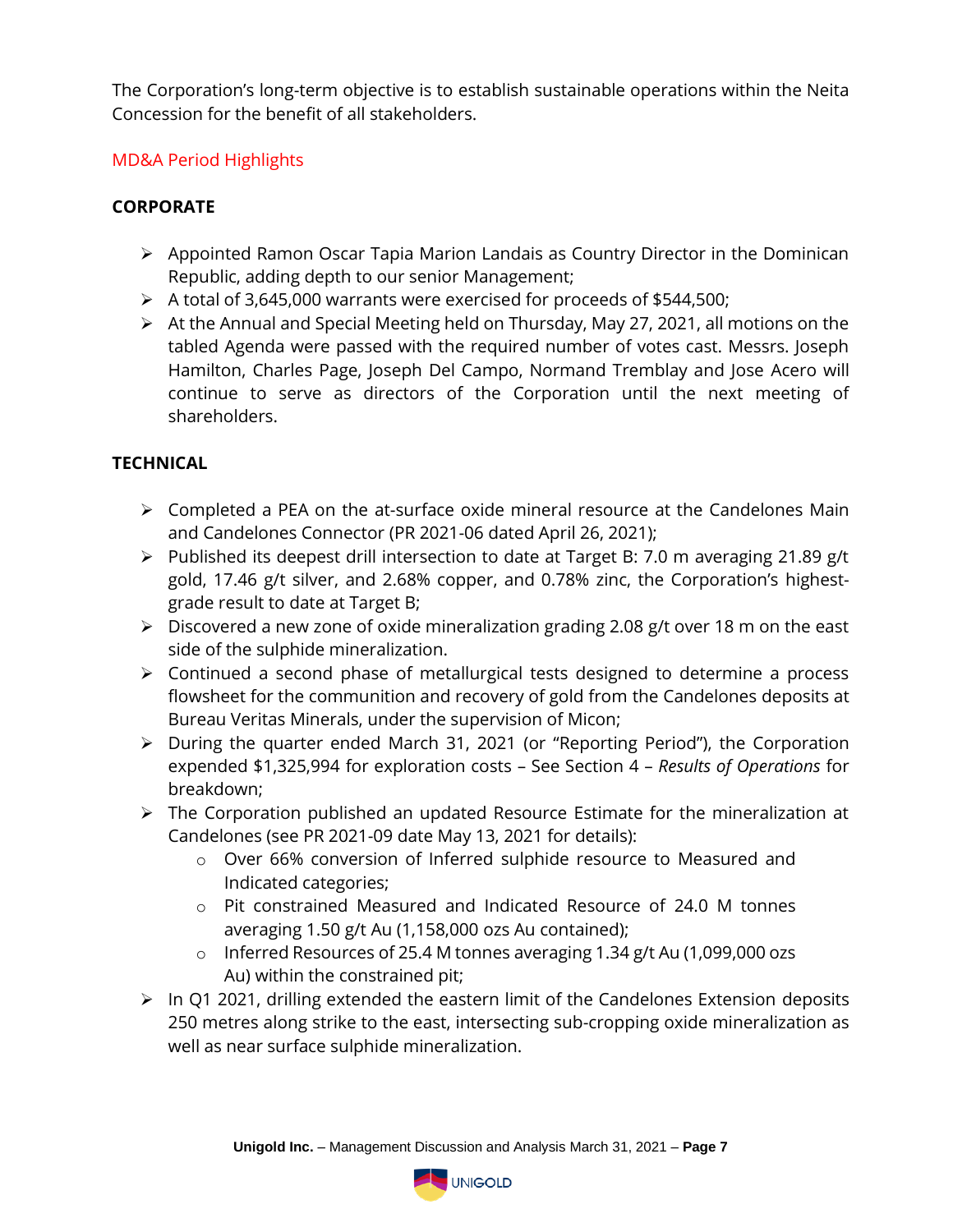The Corporation's long-term objective is to establish sustainable operations within the Neita Concession for the benefit of all stakeholders.

# MD&A Period Highlights

# **CORPORATE**

- ➢ Appointed Ramon Oscar Tapia Marion Landais as Country Director in the Dominican Republic, adding depth to our senior Management;
- ➢ A total of 3,645,000 warrants were exercised for proceeds of \$544,500;
- ➢ At the Annual and Special Meeting held on Thursday, May 27, 2021, all motions on the tabled Agenda were passed with the required number of votes cast. Messrs. Joseph Hamilton, Charles Page, Joseph Del Campo, Normand Tremblay and Jose Acero will continue to serve as directors of the Corporation until the next meeting of shareholders.

# **TECHNICAL**

- $\triangleright$  Completed a PEA on the at-surface oxide mineral resource at the Candelones Main and Candelones Connector (PR 2021-06 dated April 26, 2021);
- ➢ Published its deepest drill intersection to date at Target B: 7.0 m averaging 21.89 g/t gold, 17.46 g/t silver, and 2.68% copper, and 0.78% zinc, the Corporation's highestgrade result to date at Target B;
- ➢ Discovered a new zone of oxide mineralization grading 2.08 g/t over 18 m on the east side of the sulphide mineralization.
- ➢ Continued a second phase of metallurgical tests designed to determine a process flowsheet for the communition and recovery of gold from the Candelones deposits at Bureau Veritas Minerals, under the supervision of Micon;
- ➢ During the quarter ended March 31, 2021 (or "Reporting Period"), the Corporation expended \$1,325,994 for exploration costs – See Section 4 – *Results of Operations* for breakdown;
- ➢ The Corporation published an updated Resource Estimate for the mineralization at Candelones (see PR 2021-09 date May 13, 2021 for details):
	- o Over 66% conversion of Inferred sulphide resource to Measured and Indicated categories;
	- o Pit constrained Measured and Indicated Resource of 24.0 M tonnes averaging 1.50 g/t Au (1,158,000 ozs Au contained);
	- o Inferred Resources of 25.4 M tonnes averaging 1.34 g/t Au (1,099,000 ozs Au) within the constrained pit;
- ➢ In Q1 2021, drilling extended the eastern limit of the Candelones Extension deposits 250 metres along strike to the east, intersecting sub-cropping oxide mineralization as well as near surface sulphide mineralization.

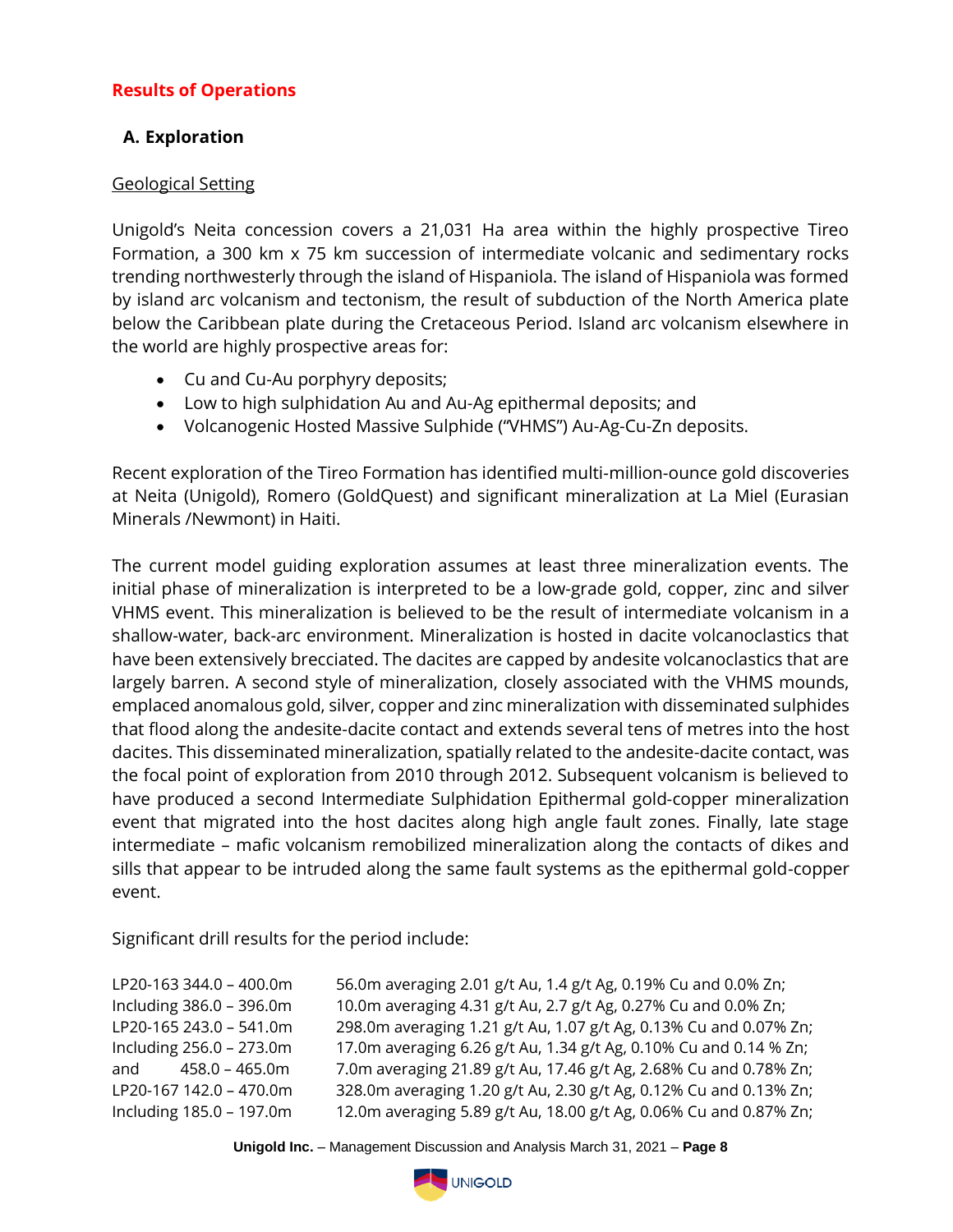# **Results of Operations**

### **A. Exploration**

#### Geological Setting

Unigold's Neita concession covers a 21,031 Ha area within the highly prospective Tireo Formation, a 300 km x 75 km succession of intermediate volcanic and sedimentary rocks trending northwesterly through the island of Hispaniola. The island of Hispaniola was formed by island arc volcanism and tectonism, the result of subduction of the North America plate below the Caribbean plate during the Cretaceous Period. Island arc volcanism elsewhere in the world are highly prospective areas for:

- Cu and Cu-Au porphyry deposits;
- Low to high sulphidation Au and Au-Ag epithermal deposits; and
- Volcanogenic Hosted Massive Sulphide ("VHMS") Au-Ag-Cu-Zn deposits.

Recent exploration of the Tireo Formation has identified multi-million-ounce gold discoveries at Neita (Unigold), Romero (GoldQuest) and significant mineralization at La Miel (Eurasian Minerals /Newmont) in Haiti.

The current model guiding exploration assumes at least three mineralization events. The initial phase of mineralization is interpreted to be a low-grade gold, copper, zinc and silver VHMS event. This mineralization is believed to be the result of intermediate volcanism in a shallow-water, back-arc environment. Mineralization is hosted in dacite volcanoclastics that have been extensively brecciated. The dacites are capped by andesite volcanoclastics that are largely barren. A second style of mineralization, closely associated with the VHMS mounds, emplaced anomalous gold, silver, copper and zinc mineralization with disseminated sulphides that flood along the andesite-dacite contact and extends several tens of metres into the host dacites. This disseminated mineralization, spatially related to the andesite-dacite contact, was the focal point of exploration from 2010 through 2012. Subsequent volcanism is believed to have produced a second Intermediate Sulphidation Epithermal gold-copper mineralization event that migrated into the host dacites along high angle fault zones. Finally, late stage intermediate – mafic volcanism remobilized mineralization along the contacts of dikes and sills that appear to be intruded along the same fault systems as the epithermal gold-copper event.

Significant drill results for the period include:

LP20-163 344.0 – 400.0m 56.0m averaging 2.01 g/t Au, 1.4 g/t Ag, 0.19% Cu and 0.0% Zn; Including 386.0 – 396.0m 10.0m averaging 4.31 g/t Au, 2.7 g/t Ag, 0.27% Cu and 0.0% Zn; LP20-165 243.0 – 541.0m 298.0m averaging 1.21 g/t Au, 1.07 g/t Ag, 0.13% Cu and 0.07% Zn; Including 256.0 – 273.0m 17.0m averaging 6.26 g/t Au, 1.34 g/t Ag, 0.10% Cu and 0.14 % Zn; and 458.0 – 465.0m 7.0m averaging 21.89 g/t Au, 17.46 g/t Ag, 2.68% Cu and 0.78% Zn; LP20-167 142.0 – 470.0m 328.0m averaging 1.20 g/t Au, 2.30 g/t Ag, 0.12% Cu and 0.13% Zn; Including 185.0 – 197.0m 12.0m averaging 5.89 g/t Au, 18.00 g/t Ag, 0.06% Cu and 0.87% Zn;

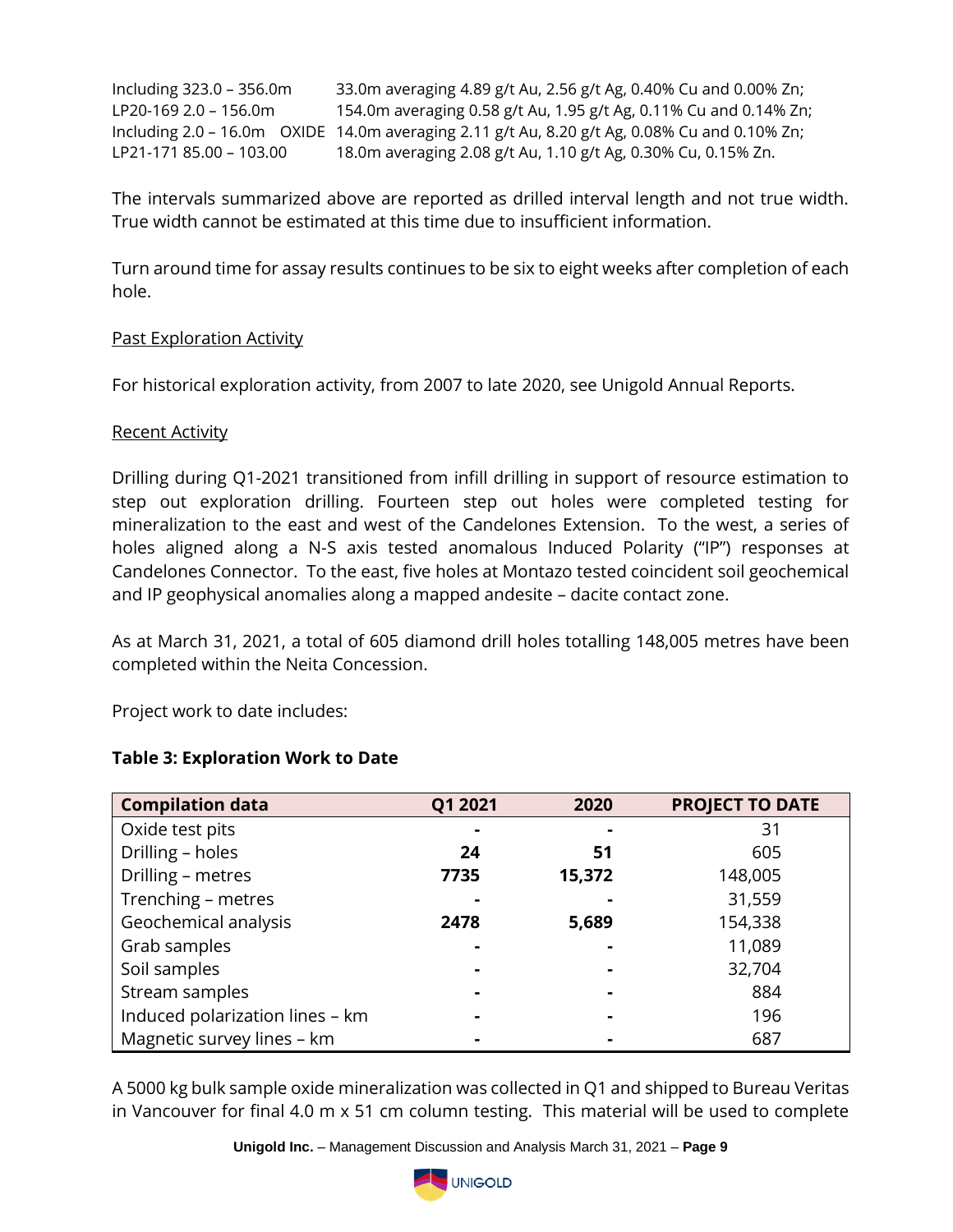Including 323.0 – 356.0m 33.0m averaging 4.89 g/t Au, 2.56 g/t Ag, 0.40% Cu and 0.00% Zn; LP20-169 2.0 – 156.0m 154.0m averaging 0.58 g/t Au, 1.95 g/t Ag, 0.11% Cu and 0.14% Zn; Including 2.0 – 16.0m OXIDE 14.0m averaging 2.11 g/t Au, 8.20 g/t Ag, 0.08% Cu and 0.10% Zn; LP21-171 85.00 – 103.00 18.0m averaging 2.08 g/t Au, 1.10 g/t Ag, 0.30% Cu, 0.15% Zn.

The intervals summarized above are reported as drilled interval length and not true width. True width cannot be estimated at this time due to insufficient information.

Turn around time for assay results continues to be six to eight weeks after completion of each hole.

#### Past Exploration Activity

For historical exploration activity, from 2007 to late 2020, see Unigold Annual Reports.

#### Recent Activity

Drilling during Q1-2021 transitioned from infill drilling in support of resource estimation to step out exploration drilling. Fourteen step out holes were completed testing for mineralization to the east and west of the Candelones Extension. To the west, a series of holes aligned along a N-S axis tested anomalous Induced Polarity ("IP") responses at Candelones Connector. To the east, five holes at Montazo tested coincident soil geochemical and IP geophysical anomalies along a mapped andesite – dacite contact zone.

As at March 31, 2021, a total of 605 diamond drill holes totalling 148,005 metres have been completed within the Neita Concession.

Project work to date includes:

| <b>Compilation data</b>         | Q1 2021 | 2020           | <b>PROJECT TO DATE</b> |
|---------------------------------|---------|----------------|------------------------|
| Oxide test pits                 |         |                | 31                     |
| Drilling - holes                | 24      | 51             | 605                    |
| Drilling - metres               | 7735    | 15,372         | 148,005                |
| Trenching - metres              |         |                | 31,559                 |
| Geochemical analysis            | 2478    | 5,689          | 154,338                |
| Grab samples                    |         |                | 11,089                 |
| Soil samples                    |         |                | 32,704                 |
| Stream samples                  |         |                | 884                    |
| Induced polarization lines - km |         | $\blacksquare$ | 196                    |
| Magnetic survey lines - km      |         |                | 687                    |

### **Table 3: Exploration Work to Date**

A 5000 kg bulk sample oxide mineralization was collected in Q1 and shipped to Bureau Veritas in Vancouver for final 4.0 m x 51 cm column testing. This material will be used to complete

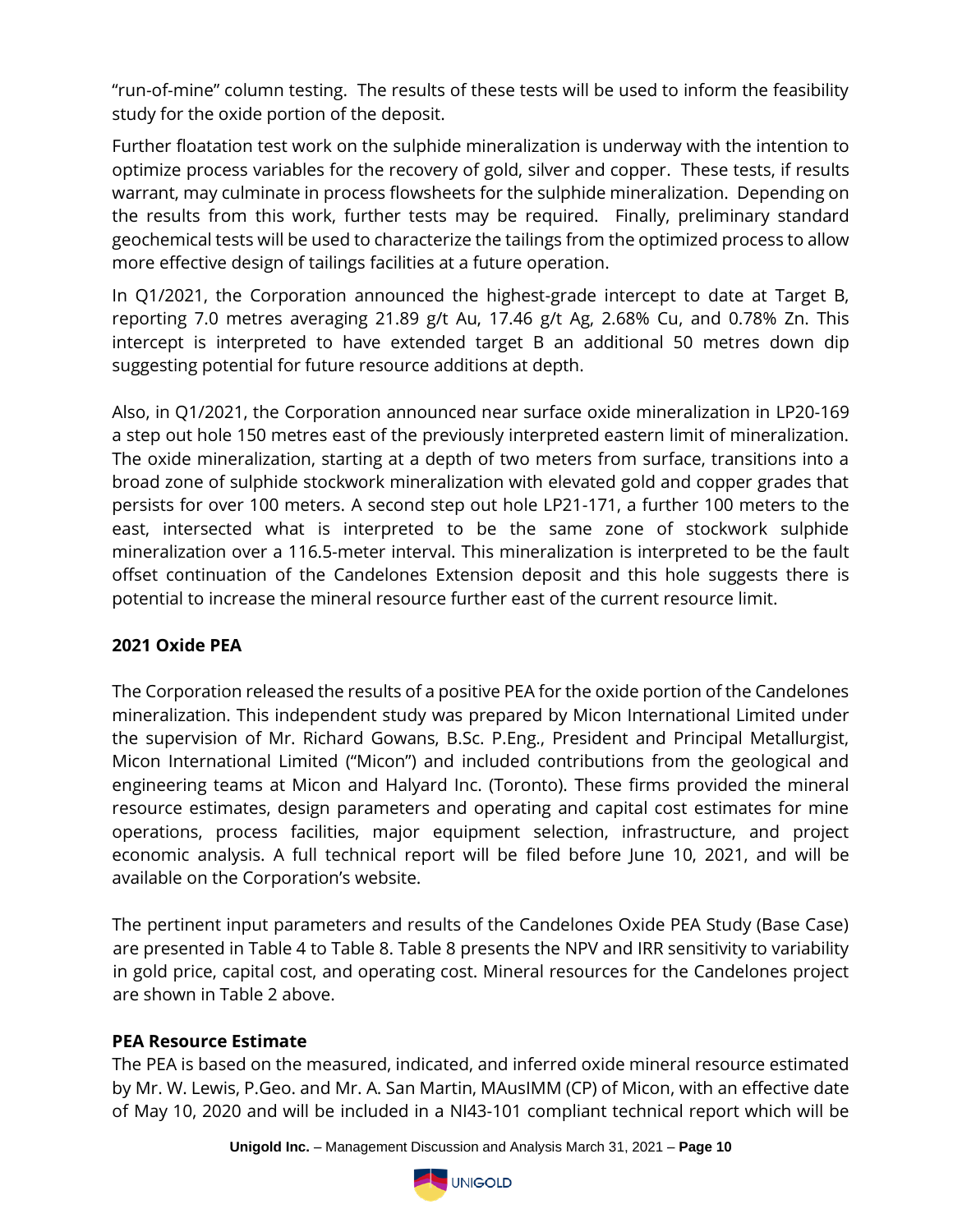"run-of-mine" column testing. The results of these tests will be used to inform the feasibility study for the oxide portion of the deposit.

Further floatation test work on the sulphide mineralization is underway with the intention to optimize process variables for the recovery of gold, silver and copper. These tests, if results warrant, may culminate in process flowsheets for the sulphide mineralization. Depending on the results from this work, further tests may be required. Finally, preliminary standard geochemical tests will be used to characterize the tailings from the optimized process to allow more effective design of tailings facilities at a future operation.

In Q1/2021, the Corporation announced the highest-grade intercept to date at Target B, reporting 7.0 metres averaging 21.89 g/t Au, 17.46 g/t Ag, 2.68% Cu, and 0.78% Zn. This intercept is interpreted to have extended target B an additional 50 metres down dip suggesting potential for future resource additions at depth.

Also, in Q1/2021, the Corporation announced near surface oxide mineralization in LP20-169 a step out hole 150 metres east of the previously interpreted eastern limit of mineralization. The oxide mineralization, starting at a depth of two meters from surface, transitions into a broad zone of sulphide stockwork mineralization with elevated gold and copper grades that persists for over 100 meters. A second step out hole LP21-171, a further 100 meters to the east, intersected what is interpreted to be the same zone of stockwork sulphide mineralization over a 116.5-meter interval. This mineralization is interpreted to be the fault offset continuation of the Candelones Extension deposit and this hole suggests there is potential to increase the mineral resource further east of the current resource limit.

# **2021 Oxide PEA**

The Corporation released the results of a positive PEA for the oxide portion of the Candelones mineralization. This independent study was prepared by Micon International Limited under the supervision of Mr. Richard Gowans, B.Sc. P.Eng., President and Principal Metallurgist, Micon International Limited ("Micon") and included contributions from the geological and engineering teams at Micon and Halyard Inc. (Toronto). These firms provided the mineral resource estimates, design parameters and operating and capital cost estimates for mine operations, process facilities, major equipment selection, infrastructure, and project economic analysis. A full technical report will be filed before June 10, 2021, and will be available on the Corporation's website.

The pertinent input parameters and results of the Candelones Oxide PEA Study (Base Case) are presented in Table 4 to Table 8. Table 8 presents the NPV and IRR sensitivity to variability in gold price, capital cost, and operating cost. Mineral resources for the Candelones project are shown in Table 2 above.

### **PEA Resource Estimate**

The PEA is based on the measured, indicated, and inferred oxide mineral resource estimated by Mr. W. Lewis, P.Geo. and Mr. A. San Martin, MAusIMM (CP) of Micon, with an effective date of May 10, 2020 and will be included in a NI43-101 compliant technical report which will be

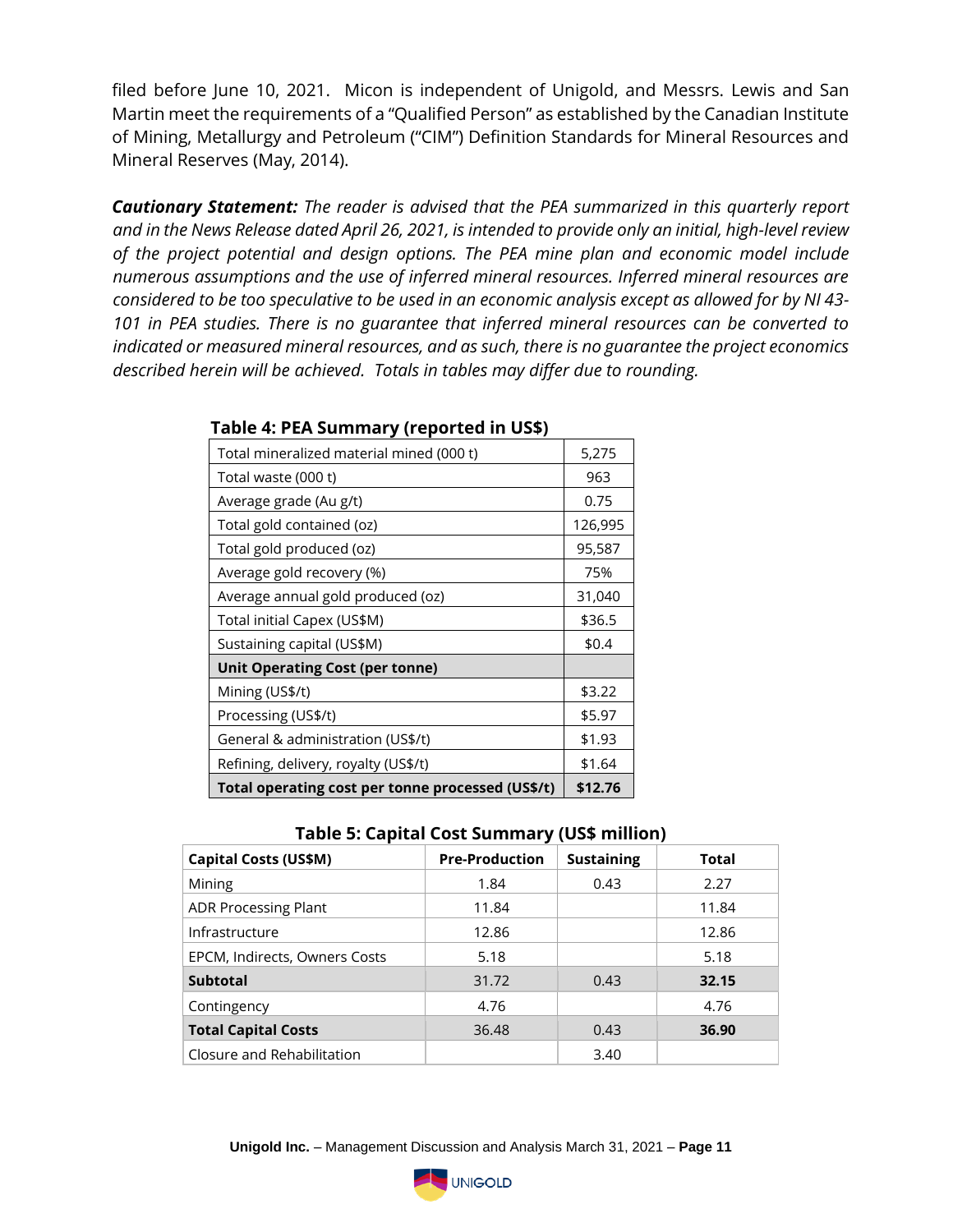filed before June 10, 2021. Micon is independent of Unigold, and Messrs. Lewis and San Martin meet the requirements of a "Qualified Person" as established by the Canadian Institute of Mining, Metallurgy and Petroleum ("CIM") Definition Standards for Mineral Resources and Mineral Reserves (May, 2014).

*Cautionary Statement: The reader is advised that the PEA summarized in this quarterly report and in the News Release dated April 26, 2021, is intended to provide only an initial, high-level review of the project potential and design options. The PEA mine plan and economic model include numerous assumptions and the use of inferred mineral resources. Inferred mineral resources are considered to be too speculative to be used in an economic analysis except as allowed for by NI 43- 101 in PEA studies. There is no guarantee that inferred mineral resources can be converted to indicated or measured mineral resources, and as such, there is no guarantee the project economics described herein will be achieved. Totals in tables may differ due to rounding.*

| Total mineralized material mined (000 t)          | 5,275   |
|---------------------------------------------------|---------|
| Total waste (000 t)                               | 963     |
| Average grade (Au g/t)                            | 0.75    |
| Total gold contained (oz)                         | 126,995 |
| Total gold produced (oz)                          | 95,587  |
| Average gold recovery (%)                         | 75%     |
| Average annual gold produced (oz)                 | 31,040  |
| Total initial Capex (US\$M)                       | \$36.5  |
| Sustaining capital (US\$M)                        | \$0.4   |
| <b>Unit Operating Cost (per tonne)</b>            |         |
| Mining (US\$/t)                                   | \$3.22  |
| Processing (US\$/t)                               | \$5.97  |
| General & administration (US\$/t)                 | \$1.93  |
| Refining, delivery, royalty (US\$/t)              | \$1.64  |
| Total operating cost per tonne processed (US\$/t) | \$12.76 |

#### **Table 4: PEA Summary (reported in US\$)**

|  | Table 5: Capital Cost Summary (US\$ million) |  |
|--|----------------------------------------------|--|
|--|----------------------------------------------|--|

|                               | . .                   |                   |              |
|-------------------------------|-----------------------|-------------------|--------------|
| <b>Capital Costs (US\$M)</b>  | <b>Pre-Production</b> | <b>Sustaining</b> | <b>Total</b> |
| Mining                        | 1.84                  | 0.43              | 2.27         |
| <b>ADR Processing Plant</b>   | 11.84                 |                   | 11.84        |
| Infrastructure                | 12.86                 |                   | 12.86        |
| EPCM, Indirects, Owners Costs | 5.18                  |                   | 5.18         |
| <b>Subtotal</b>               | 31.72                 | 0.43              | 32.15        |
| Contingency                   | 4.76                  |                   | 4.76         |
| <b>Total Capital Costs</b>    | 36.48                 | 0.43              | 36.90        |
| Closure and Rehabilitation    |                       | 3.40              |              |

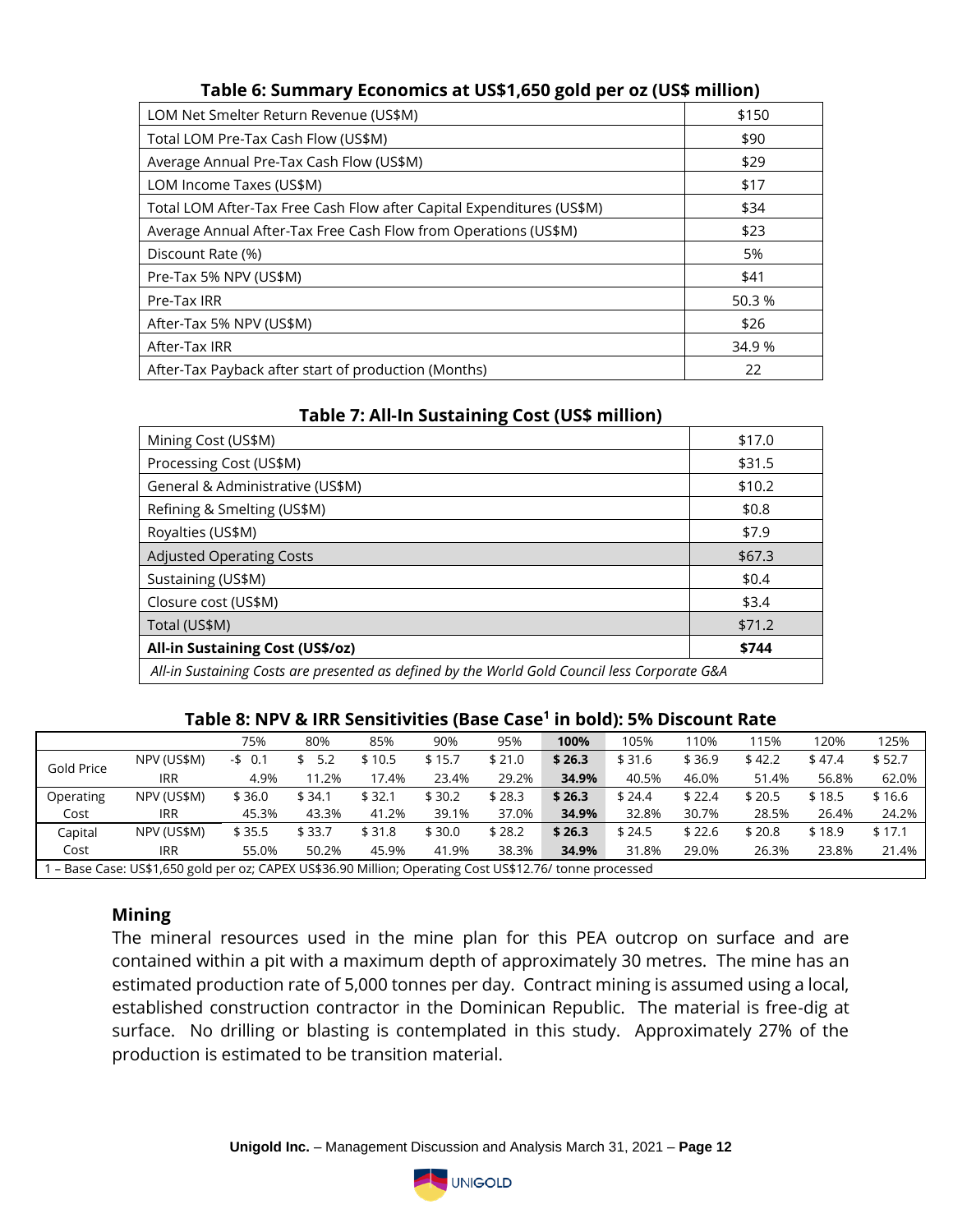| <b>Table 0. Summary Economics at OSAT,050 gold pcr 02 (OSA minion)</b> |        |  |  |  |  |  |
|------------------------------------------------------------------------|--------|--|--|--|--|--|
| LOM Net Smelter Return Revenue (US\$M)                                 | \$150  |  |  |  |  |  |
| Total LOM Pre-Tax Cash Flow (US\$M)                                    | \$90   |  |  |  |  |  |
| Average Annual Pre-Tax Cash Flow (US\$M)                               | \$29   |  |  |  |  |  |
| LOM Income Taxes (US\$M)                                               | \$17   |  |  |  |  |  |
| Total LOM After-Tax Free Cash Flow after Capital Expenditures (US\$M)  | \$34   |  |  |  |  |  |
| Average Annual After-Tax Free Cash Flow from Operations (US\$M)        | \$23   |  |  |  |  |  |
| Discount Rate (%)                                                      | 5%     |  |  |  |  |  |
| Pre-Tax 5% NPV (US\$M)                                                 | \$41   |  |  |  |  |  |
| Pre-Tax IRR                                                            | 50.3 % |  |  |  |  |  |
| After-Tax 5% NPV (US\$M)                                               | \$26   |  |  |  |  |  |
| After-Tax IRR                                                          | 34.9 % |  |  |  |  |  |
| After-Tax Payback after start of production (Months)                   | 22     |  |  |  |  |  |

## **Table 6: Summary Economics at US\$1,650 gold per oz (US\$ million)**

| Table 7. All-III Sustanning Cost (OSP INIMON)                                                 |         |  |  |  |  |  |
|-----------------------------------------------------------------------------------------------|---------|--|--|--|--|--|
| Mining Cost (US\$M)                                                                           | \$17.0  |  |  |  |  |  |
| Processing Cost (US\$M)                                                                       | \$31.5  |  |  |  |  |  |
| General & Administrative (US\$M)                                                              | \$10.2  |  |  |  |  |  |
| Refining & Smelting (US\$M)                                                                   | \$0.8   |  |  |  |  |  |
| Royalties (US\$M)                                                                             | \$7.9   |  |  |  |  |  |
| <b>Adjusted Operating Costs</b>                                                               | \$67.3  |  |  |  |  |  |
| Sustaining (US\$M)                                                                            | \$0.4\$ |  |  |  |  |  |
| Closure cost (US\$M)                                                                          | \$3.4   |  |  |  |  |  |
| Total (US\$M)                                                                                 | \$71.2  |  |  |  |  |  |
| <b>All-in Sustaining Cost (US\$/oz)</b><br>\$744                                              |         |  |  |  |  |  |
| All-in Sustaining Costs are presented as defined by the World Gold Council less Corporate G&A |         |  |  |  |  |  |

# **Table 7: All-In Sustaining Cost (US\$ million)**

#### **Table 8: NPV & IRR Sensitivities (Base Case<sup>1</sup> in bold): 5% Discount Rate**

|            |                                                                                                        | 75%      | 80%    | 85%    | 90%    | 95%    | 100%   | 105%   | 110%   | 115%   | 120%   | 125%   |
|------------|--------------------------------------------------------------------------------------------------------|----------|--------|--------|--------|--------|--------|--------|--------|--------|--------|--------|
|            | NPV (US\$M)                                                                                            | $-5$ 0.1 | 5.2    | \$10.5 | \$15.7 | \$21.0 | \$26.3 | \$31.6 | \$36.9 | \$42.2 | \$47.4 | \$52.7 |
| Gold Price | <b>IRR</b>                                                                                             | 4.9%     | 11.2%  | 17.4%  | 23.4%  | 29.2%  | 34.9%  | 40.5%  | 46.0%  | 51.4%  | 56.8%  | 62.0%  |
| Operating  | NPV (US\$M)                                                                                            | \$36.0   | \$34.1 | \$32.1 | \$30.2 | \$28.3 | \$26.3 | \$24.4 | \$22.4 | \$20.5 | \$18.5 | \$16.6 |
| Cost       | <b>IRR</b>                                                                                             | 45.3%    | 43.3%  | 41.2%  | 39.1%  | 37.0%  | 34.9%  | 32.8%  | 30.7%  | 28.5%  | 26.4%  | 24.2%  |
| Capital    | NPV (US\$M)                                                                                            | \$35.5   | \$33.7 | \$31.8 | \$30.0 | \$28.2 | \$26.3 | \$24.5 | \$22.6 | \$20.8 | \$18.9 | \$17.1 |
| Cost       | <b>IRR</b>                                                                                             | 55.0%    | 50.2%  | 45.9%  | 41.9%  | 38.3%  | 34.9%  | 31.8%  | 29.0%  | 26.3%  | 23.8%  | 21.4%  |
|            | - Base Case: US\$1,650 gold per oz; CAPEX US\$36.90 Million; Operating Cost US\$12.76/ tonne processed |          |        |        |        |        |        |        |        |        |        |        |

### **Mining**

The mineral resources used in the mine plan for this PEA outcrop on surface and are contained within a pit with a maximum depth of approximately 30 metres. The mine has an estimated production rate of 5,000 tonnes per day. Contract mining is assumed using a local, established construction contractor in the Dominican Republic. The material is free-dig at surface. No drilling or blasting is contemplated in this study. Approximately 27% of the production is estimated to be transition material.

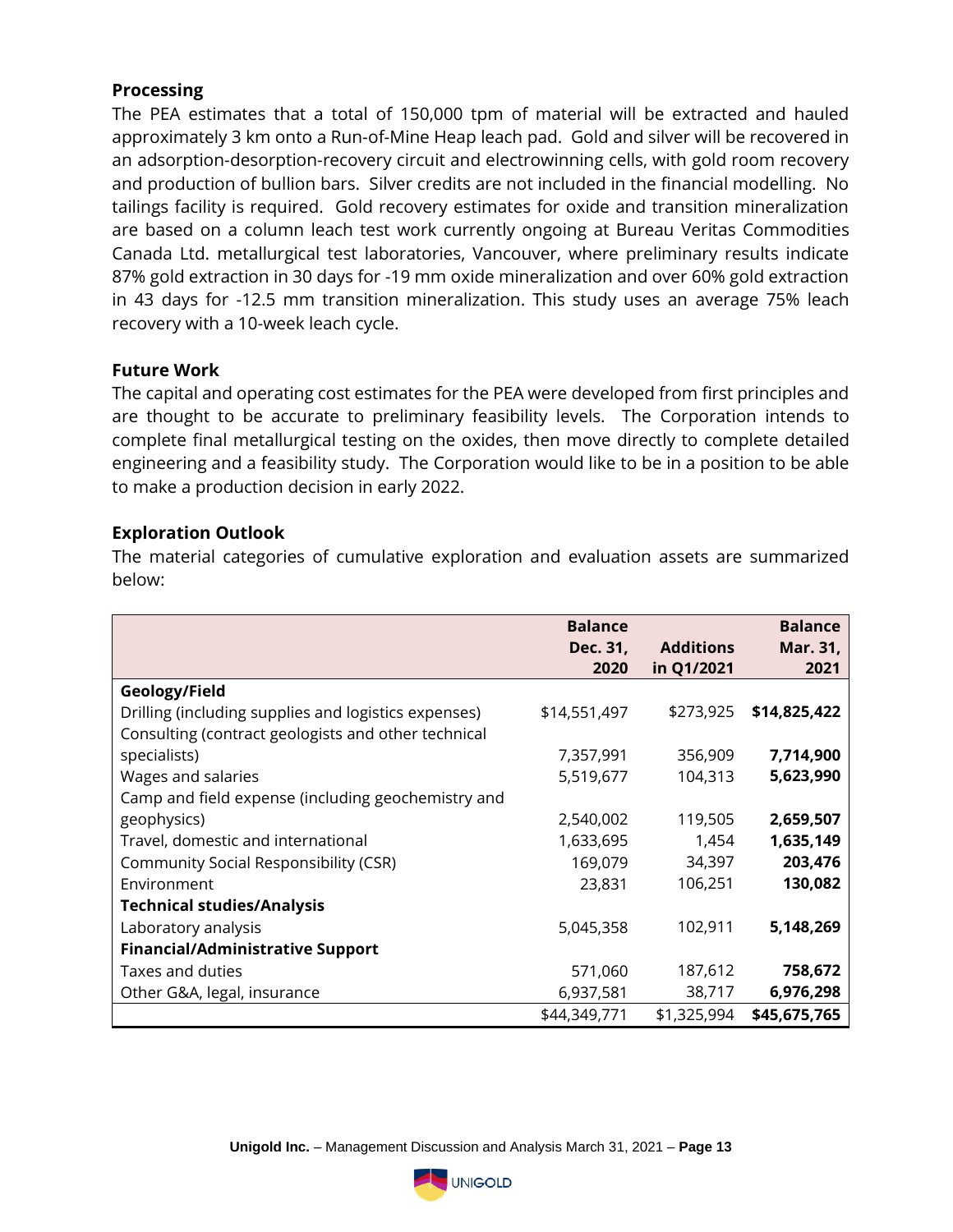### **Processing**

The PEA estimates that a total of 150,000 tpm of material will be extracted and hauled approximately 3 km onto a Run-of-Mine Heap leach pad. Gold and silver will be recovered in an adsorption-desorption-recovery circuit and electrowinning cells, with gold room recovery and production of bullion bars. Silver credits are not included in the financial modelling. No tailings facility is required. Gold recovery estimates for oxide and transition mineralization are based on a column leach test work currently ongoing at Bureau Veritas Commodities Canada Ltd. metallurgical test laboratories, Vancouver, where preliminary results indicate 87% gold extraction in 30 days for -19 mm oxide mineralization and over 60% gold extraction in 43 days for -12.5 mm transition mineralization. This study uses an average 75% leach recovery with a 10-week leach cycle.

#### **Future Work**

The capital and operating cost estimates for the PEA were developed from first principles and are thought to be accurate to preliminary feasibility levels. The Corporation intends to complete final metallurgical testing on the oxides, then move directly to complete detailed engineering and a feasibility study. The Corporation would like to be in a position to be able to make a production decision in early 2022.

### **Exploration Outlook**

The material categories of cumulative exploration and evaluation assets are summarized below:

|                                                      | <b>Balance</b> |                  | <b>Balance</b> |
|------------------------------------------------------|----------------|------------------|----------------|
|                                                      | Dec. 31,       | <b>Additions</b> | Mar. 31,       |
|                                                      | 2020           | in Q1/2021       | 2021           |
|                                                      |                |                  |                |
| Geology/Field                                        |                |                  |                |
| Drilling (including supplies and logistics expenses) | \$14,551,497   | \$273,925        | \$14,825,422   |
| Consulting (contract geologists and other technical  |                |                  |                |
| specialists)                                         | 7,357,991      | 356,909          | 7,714,900      |
| Wages and salaries                                   | 5,519,677      | 104,313          | 5,623,990      |
| Camp and field expense (including geochemistry and   |                |                  |                |
| geophysics)                                          | 2,540,002      | 119,505          | 2,659,507      |
| Travel, domestic and international                   | 1,633,695      | 1,454            | 1,635,149      |
| <b>Community Social Responsibility (CSR)</b>         | 169,079        | 34,397           | 203,476        |
| Environment                                          | 23,831         | 106,251          | 130,082        |
| <b>Technical studies/Analysis</b>                    |                |                  |                |
| Laboratory analysis                                  | 5,045,358      | 102,911          | 5,148,269      |
| <b>Financial/Administrative Support</b>              |                |                  |                |
| Taxes and duties                                     | 571,060        | 187,612          | 758,672        |
| Other G&A, legal, insurance                          | 6,937,581      | 38,717           | 6,976,298      |
|                                                      | \$44,349,771   | \$1,325,994      | \$45,675,765   |

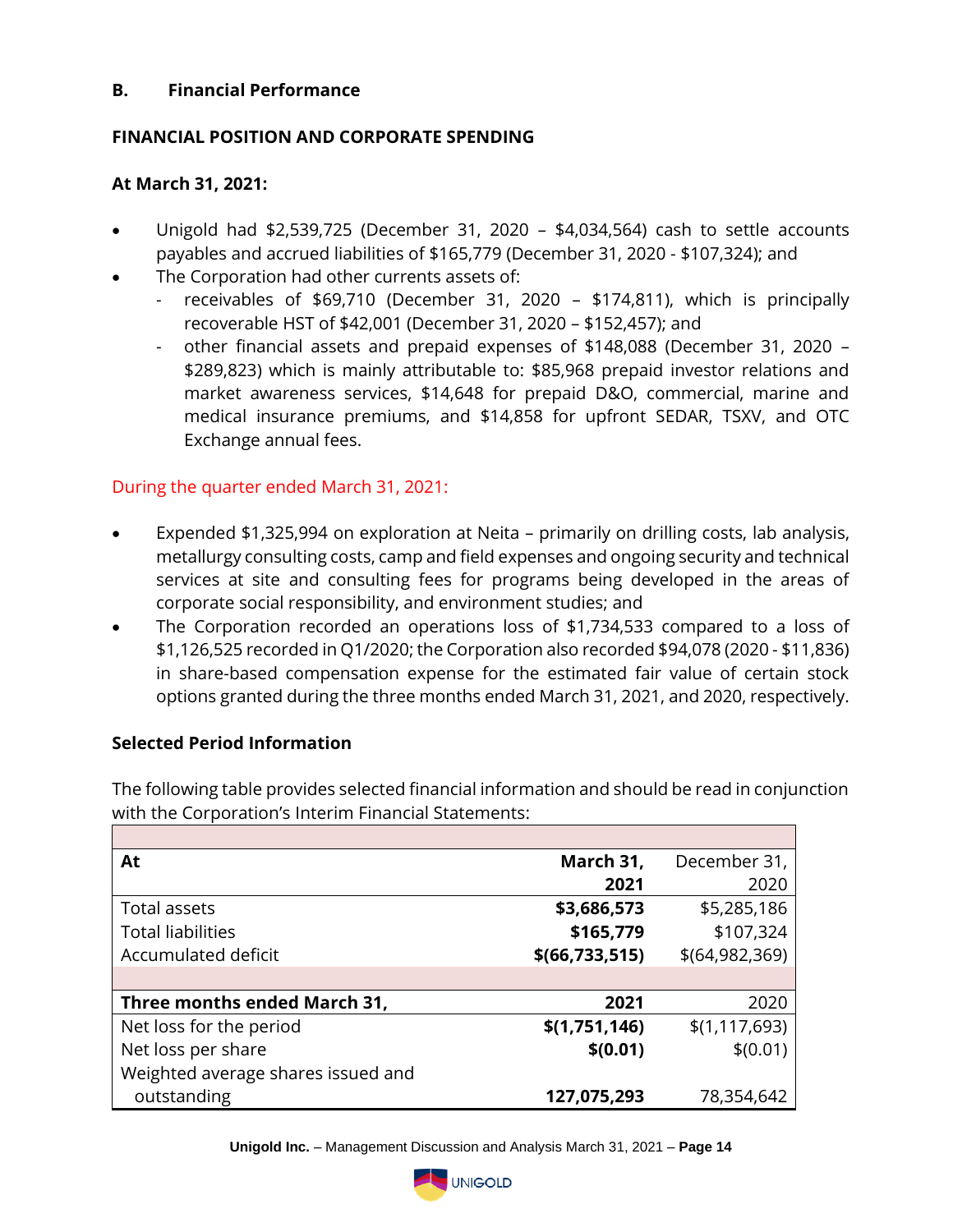### **B. Financial Performance**

### **FINANCIAL POSITION AND CORPORATE SPENDING**

### **At March 31, 2021:**

- Unigold had \$2,539,725 (December 31, 2020 \$4,034,564) cash to settle accounts payables and accrued liabilities of \$165,779 (December 31, 2020 - \$107,324); and
- The Corporation had other currents assets of:
	- receivables of \$69,710 (December 31, 2020 \$174,811), which is principally recoverable HST of \$42,001 (December 31, 2020 – \$152,457); and
	- other financial assets and prepaid expenses of \$148,088 (December 31, 2020 \$289,823) which is mainly attributable to: \$85,968 prepaid investor relations and market awareness services, \$14,648 for prepaid D&O, commercial, marine and medical insurance premiums, and \$14,858 for upfront SEDAR, TSXV, and OTC Exchange annual fees.

## During the quarter ended March 31, 2021:

- Expended \$1,325,994 on exploration at Neita primarily on drilling costs, lab analysis, metallurgy consulting costs, camp and field expenses and ongoing security and technical services at site and consulting fees for programs being developed in the areas of corporate social responsibility, and environment studies; and
- The Corporation recorded an operations loss of \$1,734,533 compared to a loss of \$1,126,525 recorded in Q1/2020; the Corporation also recorded \$94,078 (2020 - \$11,836) in share-based compensation expense for the estimated fair value of certain stock options granted during the three months ended March 31, 2021, and 2020, respectively.

### **Selected Period Information**

The following table provides selected financial information and should be read in conjunction with the Corporation's Interim Financial Statements:

| At                                 | March 31,        | December 31,     |
|------------------------------------|------------------|------------------|
|                                    | 2021             | 2020             |
| Total assets                       | \$3,686,573      | \$5,285,186      |
| <b>Total liabilities</b>           | \$165,779        | \$107,324        |
| Accumulated deficit                | \$(66, 733, 515) | \$(64, 982, 369) |
|                                    |                  |                  |
| Three months ended March 31,       | 2021             | 2020             |
| Net loss for the period            | \$(1,751,146)    | \$(1,117,693)    |
| Net loss per share                 | \$(0.01)         | \$(0.01)         |
| Weighted average shares issued and |                  |                  |
| outstanding                        | 127,075,293      | 78,354,642       |

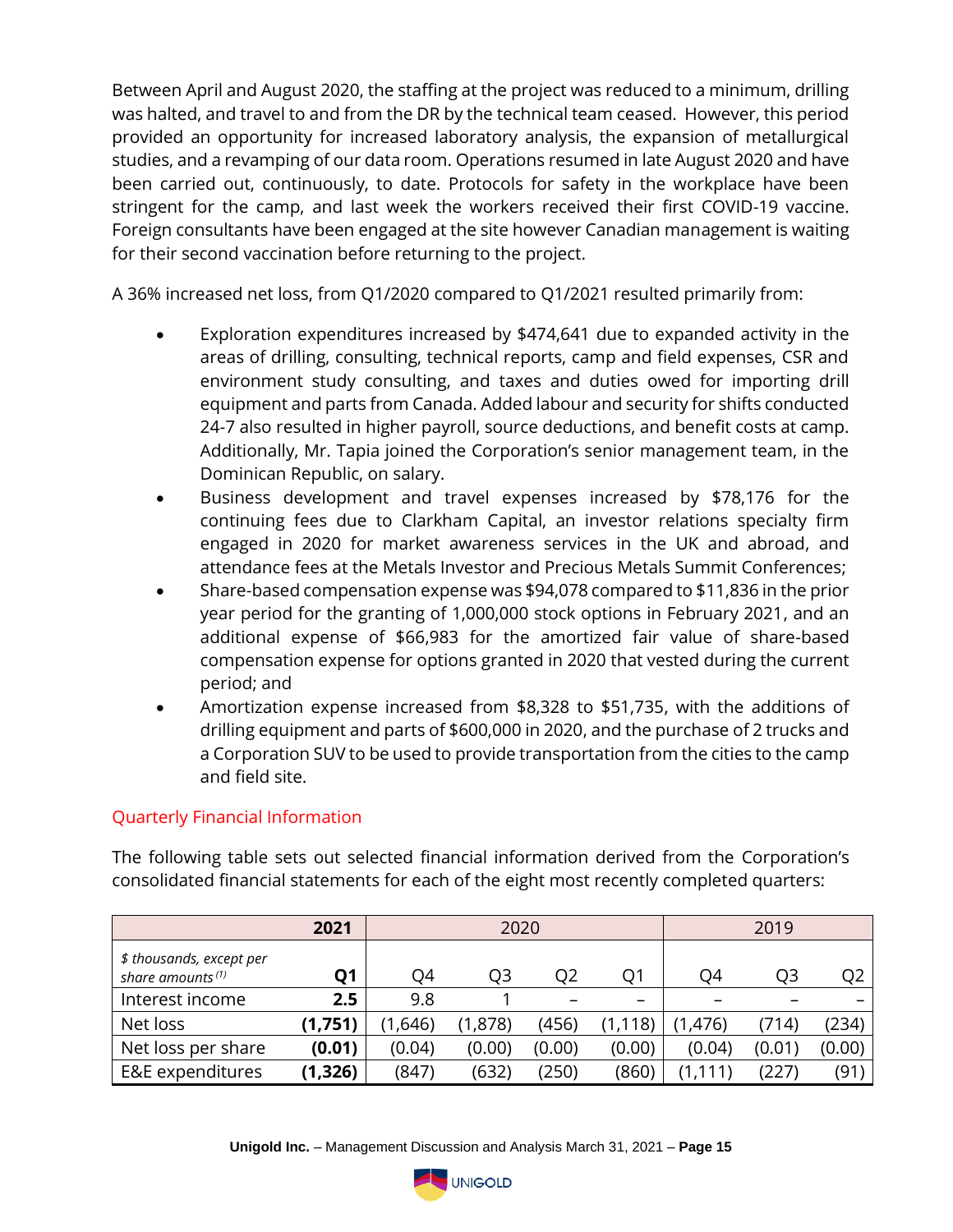Between April and August 2020, the staffing at the project was reduced to a minimum, drilling was halted, and travel to and from the DR by the technical team ceased. However, this period provided an opportunity for increased laboratory analysis, the expansion of metallurgical studies, and a revamping of our data room. Operations resumed in late August 2020 and have been carried out, continuously, to date. Protocols for safety in the workplace have been stringent for the camp, and last week the workers received their first COVID-19 vaccine. Foreign consultants have been engaged at the site however Canadian management is waiting for their second vaccination before returning to the project.

A 36% increased net loss, from Q1/2020 compared to Q1/2021 resulted primarily from:

- Exploration expenditures increased by \$474,641 due to expanded activity in the areas of drilling, consulting, technical reports, camp and field expenses, CSR and environment study consulting, and taxes and duties owed for importing drill equipment and parts from Canada. Added labour and security for shifts conducted 24-7 also resulted in higher payroll, source deductions, and benefit costs at camp. Additionally, Mr. Tapia joined the Corporation's senior management team, in the Dominican Republic, on salary.
- Business development and travel expenses increased by \$78,176 for the continuing fees due to Clarkham Capital, an investor relations specialty firm engaged in 2020 for market awareness services in the UK and abroad, and attendance fees at the Metals Investor and Precious Metals Summit Conferences;
- Share-based compensation expense was \$94,078 compared to \$11,836 in the prior year period for the granting of 1,000,000 stock options in February 2021, and an additional expense of \$66,983 for the amortized fair value of share-based compensation expense for options granted in 2020 that vested during the current period; and
- Amortization expense increased from \$8,328 to \$51,735, with the additions of drilling equipment and parts of \$600,000 in 2020, and the purchase of 2 trucks and a Corporation SUV to be used to provide transportation from the cities to the camp and field site.

# Quarterly Financial Information

The following table sets out selected financial information derived from the Corporation's consolidated financial statements for each of the eight most recently completed quarters:

|                                                          | 2021      | 2020    |         |        | 2019                     |          |        |        |
|----------------------------------------------------------|-----------|---------|---------|--------|--------------------------|----------|--------|--------|
| \$ thousands, except per<br>share amounts <sup>(1)</sup> | <b>O1</b> | O4      | Q3      | O2     | O1                       | O4       | Q3     | O2     |
| Interest income                                          | 2.5       | 9.8     |         |        | $\overline{\phantom{0}}$ |          |        |        |
| Net loss                                                 | (1,751)   | (1,646) | (1,878) | (456)  | ,118)                    | (1, 476) | (714)  | (234)  |
| Net loss per share                                       | (0.01)    | (0.04)  | (0.00)  | (0.00) | (0.00)                   | (0.04)   | (0.01) | (0.00) |
| E&E expenditures                                         | (1,326)   | (847)   | (632)   | (250)  | (860)                    | , 111)   | (227)  | (91)   |

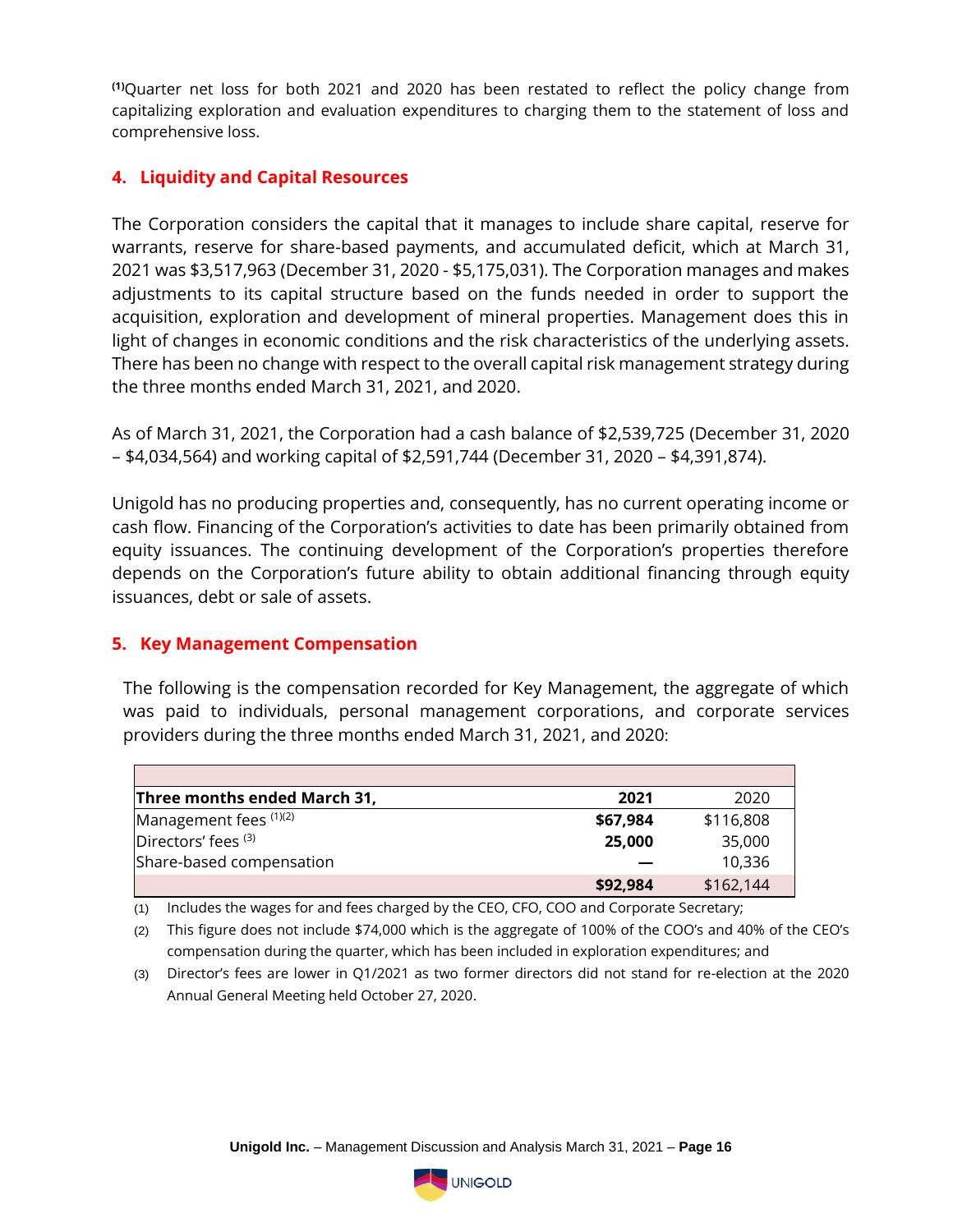**(1)**Quarter net loss for both 2021 and 2020 has been restated to reflect the policy change from capitalizing exploration and evaluation expenditures to charging them to the statement of loss and comprehensive loss.

# **4. Liquidity and Capital Resources**

The Corporation considers the capital that it manages to include share capital, reserve for warrants, reserve for share-based payments, and accumulated deficit, which at March 31, 2021 was \$3,517,963 (December 31, 2020 - \$5,175,031). The Corporation manages and makes adjustments to its capital structure based on the funds needed in order to support the acquisition, exploration and development of mineral properties. Management does this in light of changes in economic conditions and the risk characteristics of the underlying assets. There has been no change with respect to the overall capital risk management strategy during the three months ended March 31, 2021, and 2020.

As of March 31, 2021, the Corporation had a cash balance of \$2,539,725 (December 31, 2020 – \$4,034,564) and working capital of \$2,591,744 (December 31, 2020 – \$4,391,874).

Unigold has no producing properties and, consequently, has no current operating income or cash flow. Financing of the Corporation's activities to date has been primarily obtained from equity issuances. The continuing development of the Corporation's properties therefore depends on the Corporation's future ability to obtain additional financing through equity issuances, debt or sale of assets.

### **5. Key Management Compensation**

The following is the compensation recorded for Key Management, the aggregate of which was paid to individuals, personal management corporations, and corporate services providers during the three months ended March 31, 2021, and 2020:

| Three months ended March 31, | 2021     | 2020      |
|------------------------------|----------|-----------|
| Management fees $(1)(2)$     | \$67,984 | \$116,808 |
| Directors' fees (3)          | 25,000   | 35,000    |
| Share-based compensation     |          | 10,336    |
|                              | \$92,984 | \$162,144 |

(1) Includes the wages for and fees charged by the CEO, CFO, COO and Corporate Secretary;

(2) This figure does not include \$74,000 which is the aggregate of 100% of the COO's and 40% of the CEO's compensation during the quarter, which has been included in exploration expenditures; and

(3) Director's fees are lower in Q1/2021 as two former directors did not stand for re-election at the 2020 Annual General Meeting held October 27, 2020.

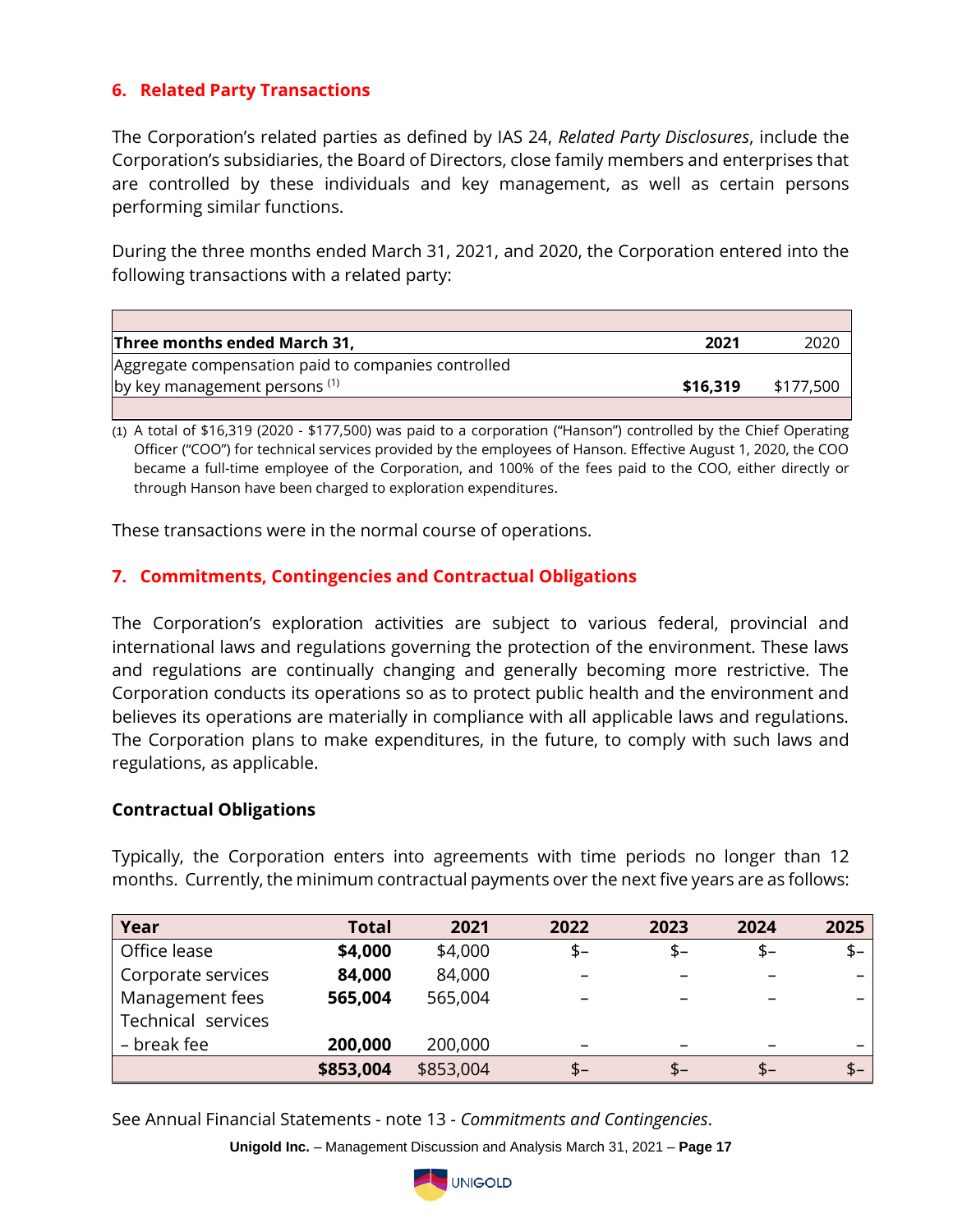# **6. Related Party Transactions**

The Corporation's related parties as defined by IAS 24, *Related Party Disclosures*, include the Corporation's subsidiaries, the Board of Directors, close family members and enterprises that are controlled by these individuals and key management, as well as certain persons performing similar functions.

During the three months ended March 31, 2021, and 2020, the Corporation entered into the following transactions with a related party:

| Three months ended March 31,                        | 2021     |           |
|-----------------------------------------------------|----------|-----------|
| Aggregate compensation paid to companies controlled |          |           |
| by key management persons (1)                       | \$16.319 | \$177,500 |
|                                                     |          |           |

(1) A total of \$16,319 (2020 - \$177,500) was paid to a corporation ("Hanson") controlled by the Chief Operating Officer ("COO") for technical services provided by the employees of Hanson. Effective August 1, 2020, the COO became a full-time employee of the Corporation, and 100% of the fees paid to the COO, either directly or through Hanson have been charged to exploration expenditures.

These transactions were in the normal course of operations.

## **7. Commitments, Contingencies and Contractual Obligations**

The Corporation's exploration activities are subject to various federal, provincial and international laws and regulations governing the protection of the environment. These laws and regulations are continually changing and generally becoming more restrictive. The Corporation conducts its operations so as to protect public health and the environment and believes its operations are materially in compliance with all applicable laws and regulations. The Corporation plans to make expenditures, in the future, to comply with such laws and regulations, as applicable.

#### **Contractual Obligations**

Typically, the Corporation enters into agreements with time periods no longer than 12 months. Currently, the minimum contractual payments over the next five years are as follows:

| Year               | Total     | 2021      | 2022                     | 2023 | 2024 | 2025                     |
|--------------------|-----------|-----------|--------------------------|------|------|--------------------------|
| Office lease       | \$4,000   | \$4,000   | \$-                      | $$-$ | $$-$ | $$ -$                    |
| Corporate services | 84,000    | 84,000    |                          |      |      | $\overline{\phantom{0}}$ |
| Management fees    | 565,004   | 565,004   |                          |      |      |                          |
| Technical services |           |           |                          |      |      |                          |
| – break fee        | 200,000   | 200,000   | $\overline{\phantom{m}}$ |      |      | $\overline{\phantom{0}}$ |
|                    | \$853,004 | \$853,004 | \$–                      | $$-$ | \$-  | $$ -$                    |

See Annual Financial Statements - note 13 - *Commitments and Contingencies*.

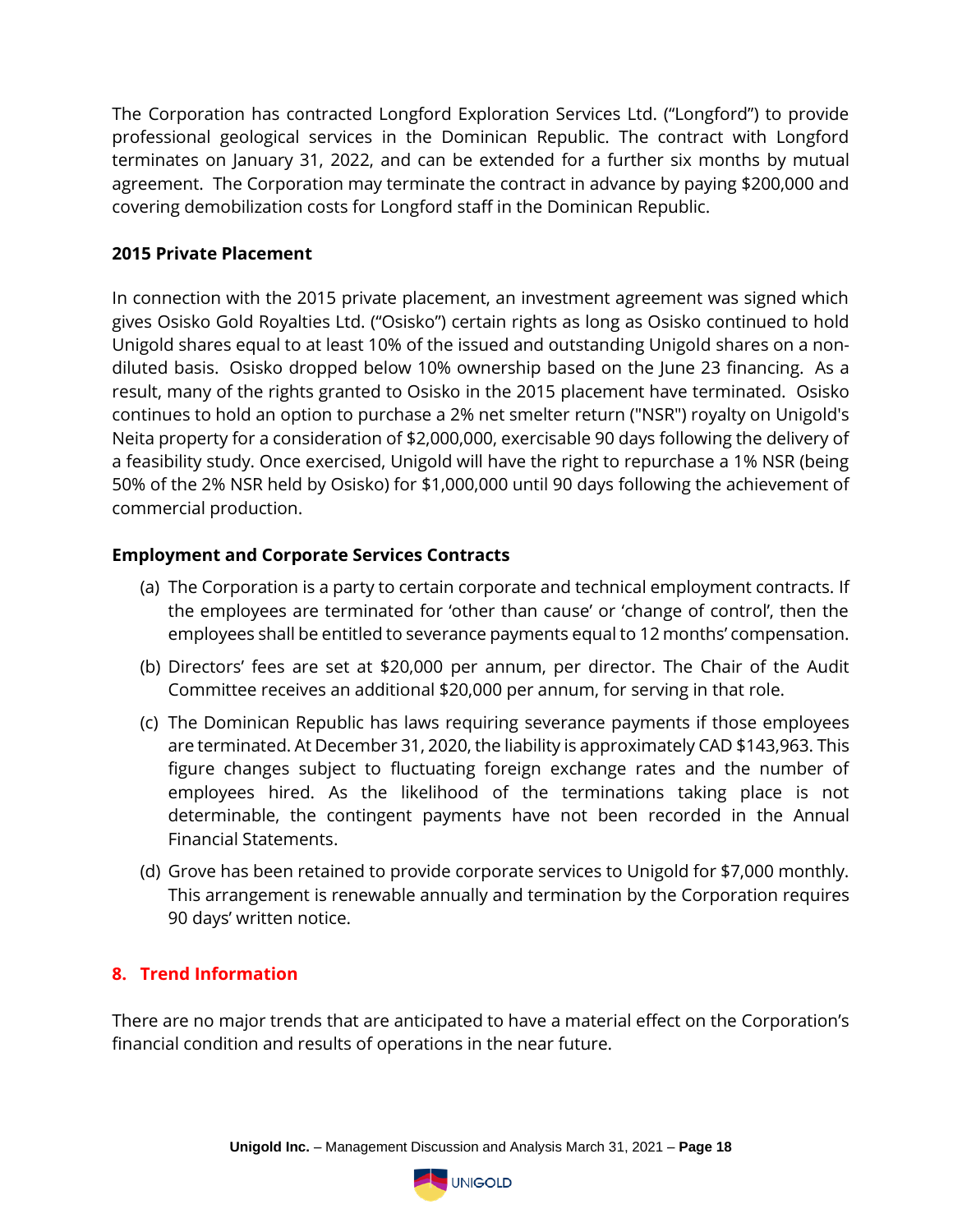The Corporation has contracted Longford Exploration Services Ltd. ("Longford") to provide professional geological services in the Dominican Republic. The contract with Longford terminates on January 31, 2022, and can be extended for a further six months by mutual agreement. The Corporation may terminate the contract in advance by paying \$200,000 and covering demobilization costs for Longford staff in the Dominican Republic.

## **2015 Private Placement**

In connection with the 2015 private placement, an investment agreement was signed which gives Osisko Gold Royalties Ltd. ("Osisko") certain rights as long as Osisko continued to hold Unigold shares equal to at least 10% of the issued and outstanding Unigold shares on a nondiluted basis. Osisko dropped below 10% ownership based on the June 23 financing. As a result, many of the rights granted to Osisko in the 2015 placement have terminated. Osisko continues to hold an option to purchase a 2% net smelter return ("NSR") royalty on Unigold's Neita property for a consideration of \$2,000,000, exercisable 90 days following the delivery of a feasibility study. Once exercised, Unigold will have the right to repurchase a 1% NSR (being 50% of the 2% NSR held by Osisko) for \$1,000,000 until 90 days following the achievement of commercial production.

### **Employment and Corporate Services Contracts**

- (a) The Corporation is a party to certain corporate and technical employment contracts. If the employees are terminated for 'other than cause' or 'change of control', then the employees shall be entitled to severance payments equal to 12 months' compensation.
- (b) Directors' fees are set at \$20,000 per annum, per director. The Chair of the Audit Committee receives an additional \$20,000 per annum, for serving in that role.
- (c) The Dominican Republic has laws requiring severance payments if those employees are terminated. At December 31, 2020, the liability is approximately CAD \$143,963. This figure changes subject to fluctuating foreign exchange rates and the number of employees hired. As the likelihood of the terminations taking place is not determinable, the contingent payments have not been recorded in the Annual Financial Statements.
- (d) Grove has been retained to provide corporate services to Unigold for \$7,000 monthly. This arrangement is renewable annually and termination by the Corporation requires 90 days' written notice.

### **8. Trend Information**

There are no major trends that are anticipated to have a material effect on the Corporation's financial condition and results of operations in the near future.

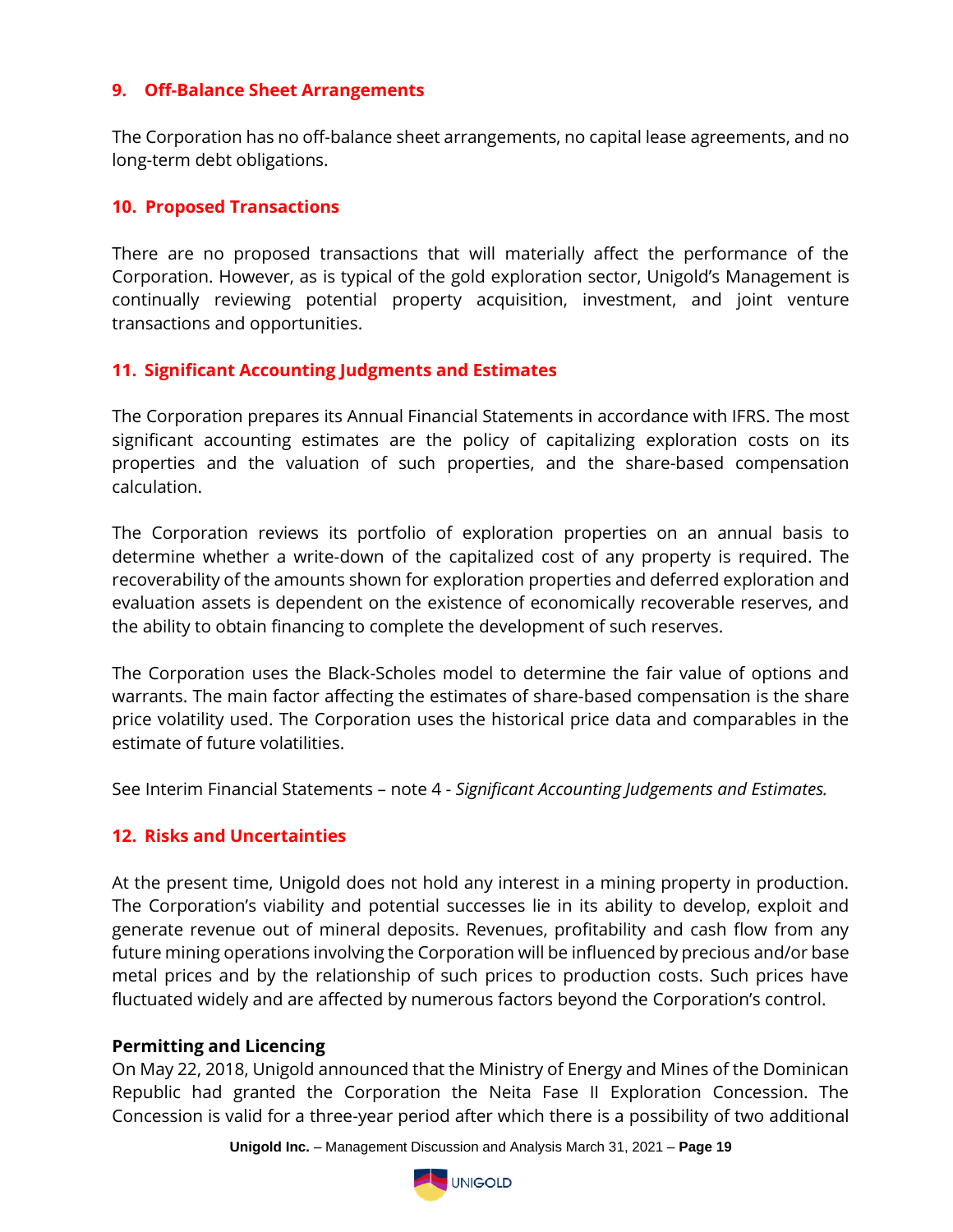### **9. Off-Balance Sheet Arrangements**

The Corporation has no off-balance sheet arrangements, no capital lease agreements, and no long-term debt obligations.

#### **10. Proposed Transactions**

There are no proposed transactions that will materially affect the performance of the Corporation. However, as is typical of the gold exploration sector, Unigold's Management is continually reviewing potential property acquisition, investment, and joint venture transactions and opportunities.

### **11. Significant Accounting Judgments and Estimates**

The Corporation prepares its Annual Financial Statements in accordance with IFRS. The most significant accounting estimates are the policy of capitalizing exploration costs on its properties and the valuation of such properties, and the share-based compensation calculation.

The Corporation reviews its portfolio of exploration properties on an annual basis to determine whether a write-down of the capitalized cost of any property is required. The recoverability of the amounts shown for exploration properties and deferred exploration and evaluation assets is dependent on the existence of economically recoverable reserves, and the ability to obtain financing to complete the development of such reserves.

The Corporation uses the Black-Scholes model to determine the fair value of options and warrants. The main factor affecting the estimates of share-based compensation is the share price volatility used. The Corporation uses the historical price data and comparables in the estimate of future volatilities.

See Interim Financial Statements – note 4 - *Significant Accounting Judgements and Estimates.*

### **12. Risks and Uncertainties**

At the present time, Unigold does not hold any interest in a mining property in production. The Corporation's viability and potential successes lie in its ability to develop, exploit and generate revenue out of mineral deposits. Revenues, profitability and cash flow from any future mining operations involving the Corporation will be influenced by precious and/or base metal prices and by the relationship of such prices to production costs. Such prices have fluctuated widely and are affected by numerous factors beyond the Corporation's control.

#### **Permitting and Licencing**

On May 22, 2018, Unigold announced that the Ministry of Energy and Mines of the Dominican Republic had granted the Corporation the Neita Fase II Exploration Concession. The Concession is valid for a three-year period after which there is a possibility of two additional

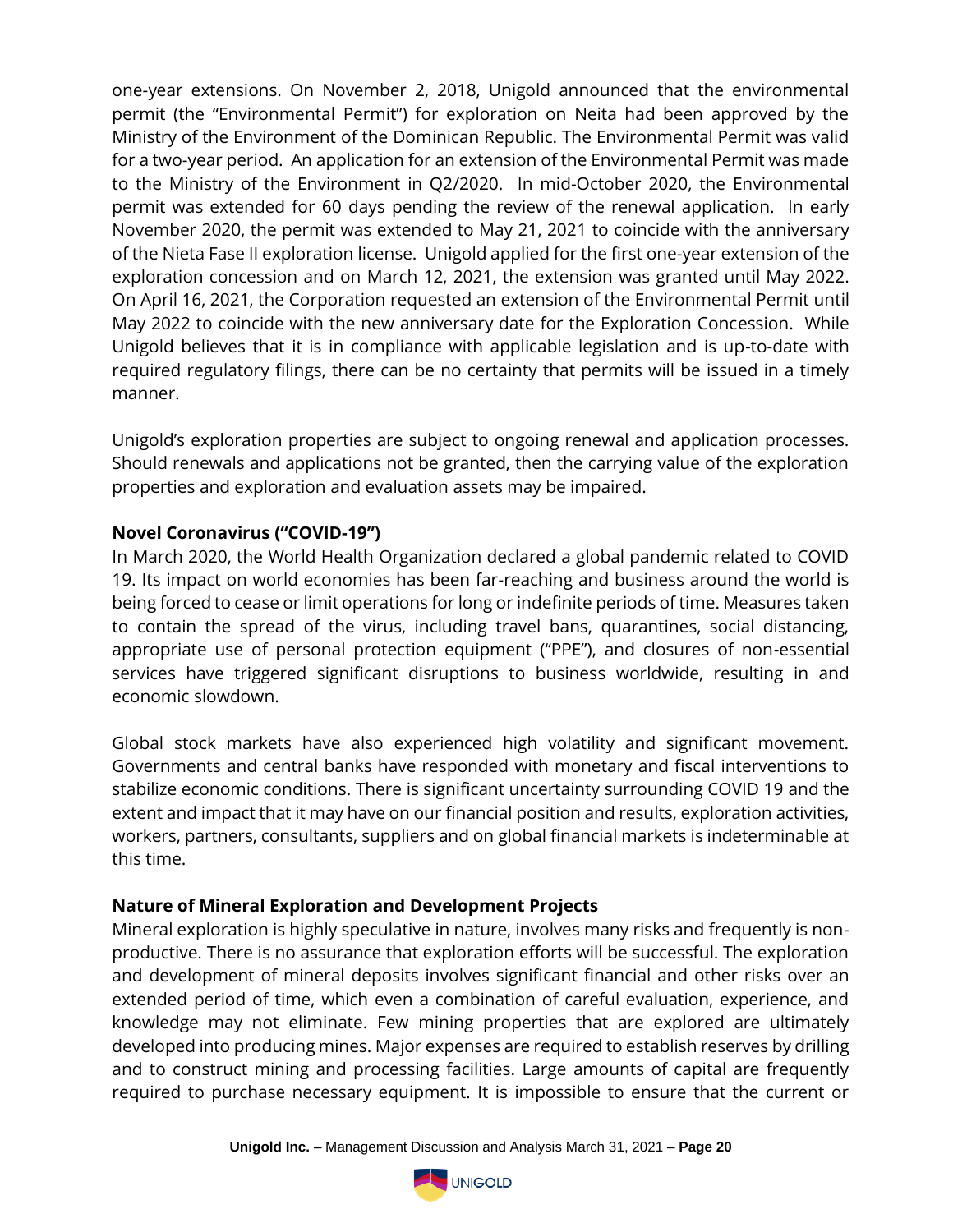one-year extensions. On November 2, 2018, Unigold announced that the environmental permit (the "Environmental Permit") for exploration on Neita had been approved by the Ministry of the Environment of the Dominican Republic. The Environmental Permit was valid for a two-year period. An application for an extension of the Environmental Permit was made to the Ministry of the Environment in Q2/2020. In mid-October 2020, the Environmental permit was extended for 60 days pending the review of the renewal application. In early November 2020, the permit was extended to May 21, 2021 to coincide with the anniversary of the Nieta Fase II exploration license. Unigold applied for the first one-year extension of the exploration concession and on March 12, 2021, the extension was granted until May 2022. On April 16, 2021, the Corporation requested an extension of the Environmental Permit until May 2022 to coincide with the new anniversary date for the Exploration Concession. While Unigold believes that it is in compliance with applicable legislation and is up-to-date with required regulatory filings, there can be no certainty that permits will be issued in a timely manner.

Unigold's exploration properties are subject to ongoing renewal and application processes. Should renewals and applications not be granted, then the carrying value of the exploration properties and exploration and evaluation assets may be impaired.

### **Novel Coronavirus ("COVID-19")**

In March 2020, the World Health Organization declared a global pandemic related to COVID 19. Its impact on world economies has been far-reaching and business around the world is being forced to cease or limit operations for long or indefinite periods of time. Measures taken to contain the spread of the virus, including travel bans, quarantines, social distancing, appropriate use of personal protection equipment ("PPE"), and closures of non-essential services have triggered significant disruptions to business worldwide, resulting in and economic slowdown.

Global stock markets have also experienced high volatility and significant movement. Governments and central banks have responded with monetary and fiscal interventions to stabilize economic conditions. There is significant uncertainty surrounding COVID 19 and the extent and impact that it may have on our financial position and results, exploration activities, workers, partners, consultants, suppliers and on global financial markets is indeterminable at this time.

### **Nature of Mineral Exploration and Development Projects**

Mineral exploration is highly speculative in nature, involves many risks and frequently is nonproductive. There is no assurance that exploration efforts will be successful. The exploration and development of mineral deposits involves significant financial and other risks over an extended period of time, which even a combination of careful evaluation, experience, and knowledge may not eliminate. Few mining properties that are explored are ultimately developed into producing mines. Major expenses are required to establish reserves by drilling and to construct mining and processing facilities. Large amounts of capital are frequently required to purchase necessary equipment. It is impossible to ensure that the current or

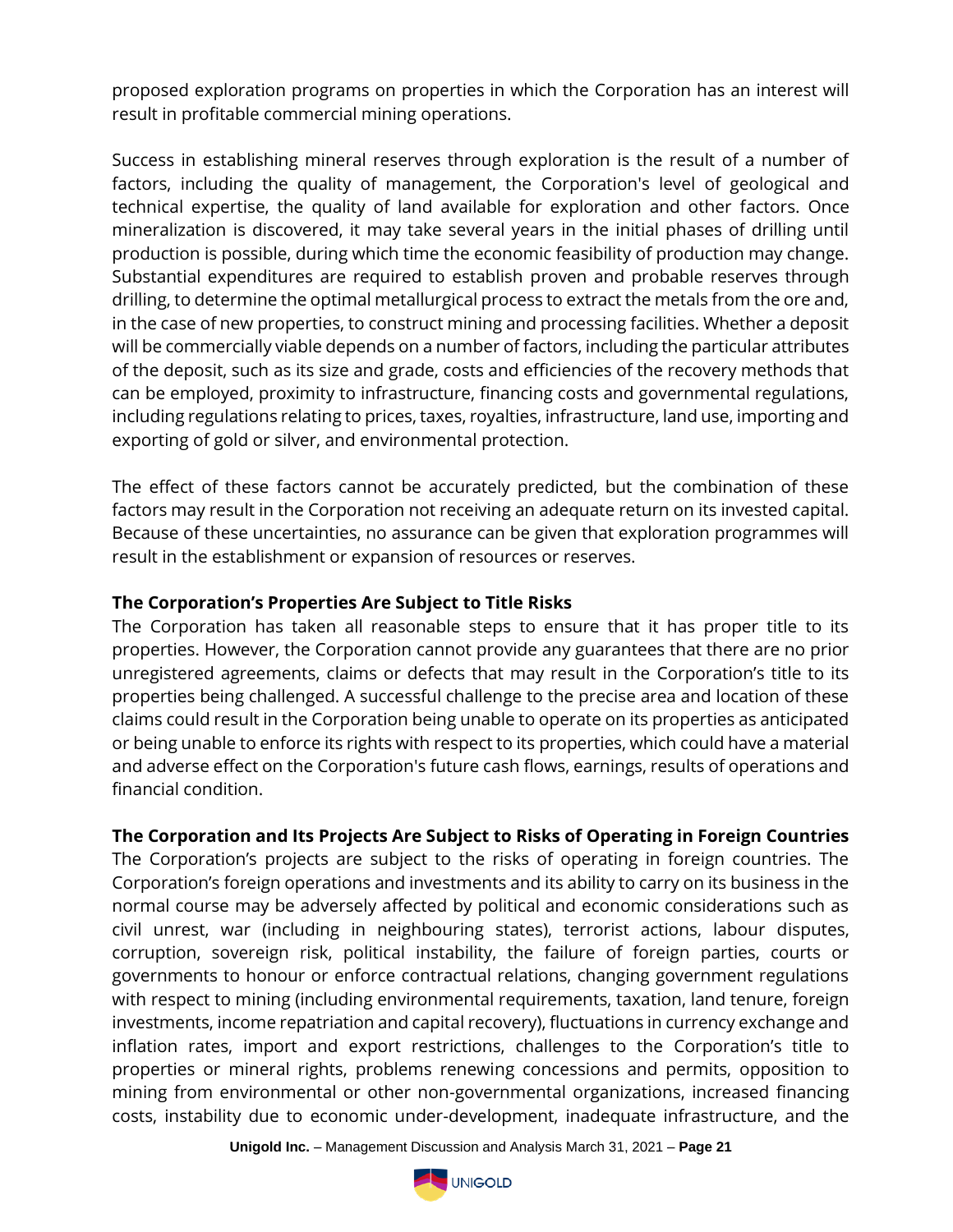proposed exploration programs on properties in which the Corporation has an interest will result in profitable commercial mining operations.

Success in establishing mineral reserves through exploration is the result of a number of factors, including the quality of management, the Corporation's level of geological and technical expertise, the quality of land available for exploration and other factors. Once mineralization is discovered, it may take several years in the initial phases of drilling until production is possible, during which time the economic feasibility of production may change. Substantial expenditures are required to establish proven and probable reserves through drilling, to determine the optimal metallurgical process to extract the metals from the ore and, in the case of new properties, to construct mining and processing facilities. Whether a deposit will be commercially viable depends on a number of factors, including the particular attributes of the deposit, such as its size and grade, costs and efficiencies of the recovery methods that can be employed, proximity to infrastructure, financing costs and governmental regulations, including regulations relating to prices, taxes, royalties, infrastructure, land use, importing and exporting of gold or silver, and environmental protection.

The effect of these factors cannot be accurately predicted, but the combination of these factors may result in the Corporation not receiving an adequate return on its invested capital. Because of these uncertainties, no assurance can be given that exploration programmes will result in the establishment or expansion of resources or reserves.

## **The Corporation's Properties Are Subject to Title Risks**

The Corporation has taken all reasonable steps to ensure that it has proper title to its properties. However, the Corporation cannot provide any guarantees that there are no prior unregistered agreements, claims or defects that may result in the Corporation's title to its properties being challenged. A successful challenge to the precise area and location of these claims could result in the Corporation being unable to operate on its properties as anticipated or being unable to enforce its rights with respect to its properties, which could have a material and adverse effect on the Corporation's future cash flows, earnings, results of operations and financial condition.

# **The Corporation and Its Projects Are Subject to Risks of Operating in Foreign Countries**

The Corporation's projects are subject to the risks of operating in foreign countries. The Corporation's foreign operations and investments and its ability to carry on its business in the normal course may be adversely affected by political and economic considerations such as civil unrest, war (including in neighbouring states), terrorist actions, labour disputes, corruption, sovereign risk, political instability, the failure of foreign parties, courts or governments to honour or enforce contractual relations, changing government regulations with respect to mining (including environmental requirements, taxation, land tenure, foreign investments, income repatriation and capital recovery), fluctuations in currency exchange and inflation rates, import and export restrictions, challenges to the Corporation's title to properties or mineral rights, problems renewing concessions and permits, opposition to mining from environmental or other non-governmental organizations, increased financing costs, instability due to economic under-development, inadequate infrastructure, and the

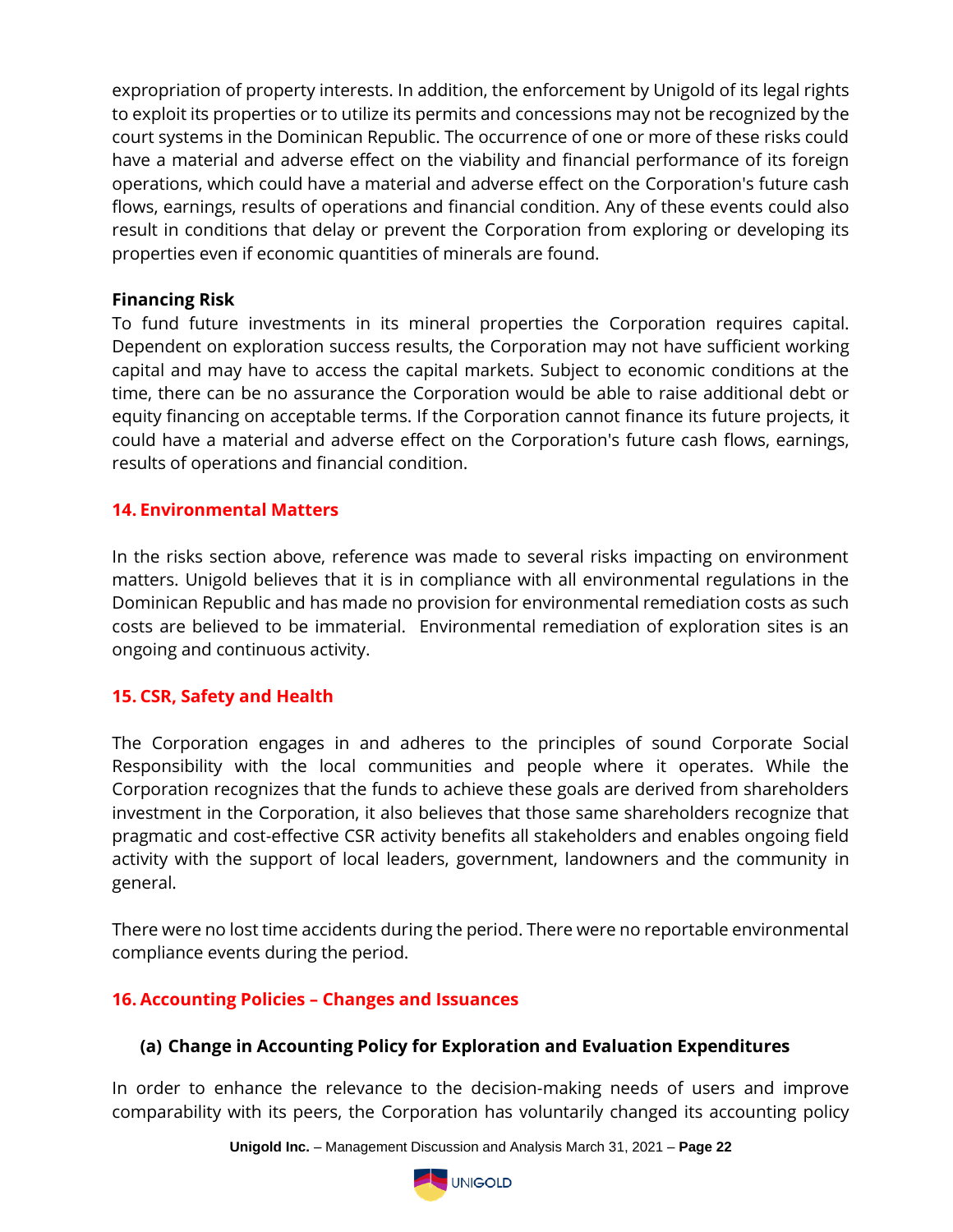expropriation of property interests. In addition, the enforcement by Unigold of its legal rights to exploit its properties or to utilize its permits and concessions may not be recognized by the court systems in the Dominican Republic. The occurrence of one or more of these risks could have a material and adverse effect on the viability and financial performance of its foreign operations, which could have a material and adverse effect on the Corporation's future cash flows, earnings, results of operations and financial condition. Any of these events could also result in conditions that delay or prevent the Corporation from exploring or developing its properties even if economic quantities of minerals are found.

### **Financing Risk**

To fund future investments in its mineral properties the Corporation requires capital. Dependent on exploration success results, the Corporation may not have sufficient working capital and may have to access the capital markets. Subject to economic conditions at the time, there can be no assurance the Corporation would be able to raise additional debt or equity financing on acceptable terms. If the Corporation cannot finance its future projects, it could have a material and adverse effect on the Corporation's future cash flows, earnings, results of operations and financial condition.

## **14. Environmental Matters**

In the risks section above, reference was made to several risks impacting on environment matters. Unigold believes that it is in compliance with all environmental regulations in the Dominican Republic and has made no provision for environmental remediation costs as such costs are believed to be immaterial. Environmental remediation of exploration sites is an ongoing and continuous activity.

### **15. CSR, Safety and Health**

The Corporation engages in and adheres to the principles of sound Corporate Social Responsibility with the local communities and people where it operates. While the Corporation recognizes that the funds to achieve these goals are derived from shareholders investment in the Corporation, it also believes that those same shareholders recognize that pragmatic and cost-effective CSR activity benefits all stakeholders and enables ongoing field activity with the support of local leaders, government, landowners and the community in general.

There were no lost time accidents during the period. There were no reportable environmental compliance events during the period.

### **16. Accounting Policies – Changes and Issuances**

### **(a) Change in Accounting Policy for Exploration and Evaluation Expenditures**

In order to enhance the relevance to the decision-making needs of users and improve comparability with its peers, the Corporation has voluntarily changed its accounting policy

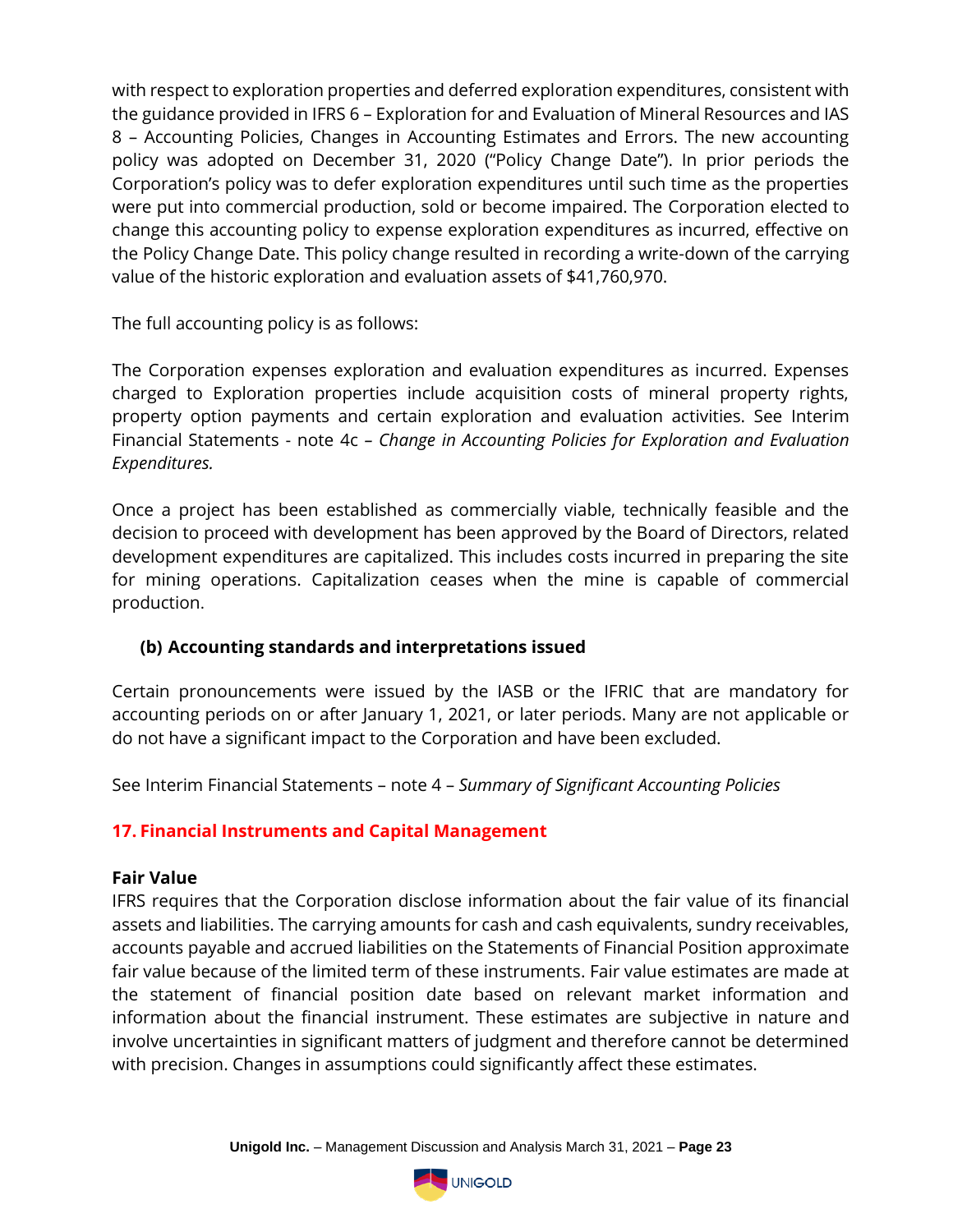with respect to exploration properties and deferred exploration expenditures, consistent with the guidance provided in IFRS 6 – Exploration for and Evaluation of Mineral Resources and IAS 8 – Accounting Policies, Changes in Accounting Estimates and Errors. The new accounting policy was adopted on December 31, 2020 ("Policy Change Date"). In prior periods the Corporation's policy was to defer exploration expenditures until such time as the properties were put into commercial production, sold or become impaired. The Corporation elected to change this accounting policy to expense exploration expenditures as incurred, effective on the Policy Change Date. This policy change resulted in recording a write-down of the carrying value of the historic exploration and evaluation assets of \$41,760,970.

The full accounting policy is as follows:

The Corporation expenses exploration and evaluation expenditures as incurred. Expenses charged to Exploration properties include acquisition costs of mineral property rights, property option payments and certain exploration and evaluation activities. See Interim Financial Statements - note 4c *– Change in Accounting Policies for Exploration and Evaluation Expenditures.* 

Once a project has been established as commercially viable, technically feasible and the decision to proceed with development has been approved by the Board of Directors, related development expenditures are capitalized. This includes costs incurred in preparing the site for mining operations. Capitalization ceases when the mine is capable of commercial production.

# **(b) Accounting standards and interpretations issued**

Certain pronouncements were issued by the IASB or the IFRIC that are mandatory for accounting periods on or after January 1, 2021, or later periods. Many are not applicable or do not have a significant impact to the Corporation and have been excluded.

See Interim Financial Statements – note 4 – *Summary of Significant Accounting Policies*

# **17. Financial Instruments and Capital Management**

#### **Fair Value**

IFRS requires that the Corporation disclose information about the fair value of its financial assets and liabilities. The carrying amounts for cash and cash equivalents, sundry receivables, accounts payable and accrued liabilities on the Statements of Financial Position approximate fair value because of the limited term of these instruments. Fair value estimates are made at the statement of financial position date based on relevant market information and information about the financial instrument. These estimates are subjective in nature and involve uncertainties in significant matters of judgment and therefore cannot be determined with precision. Changes in assumptions could significantly affect these estimates.

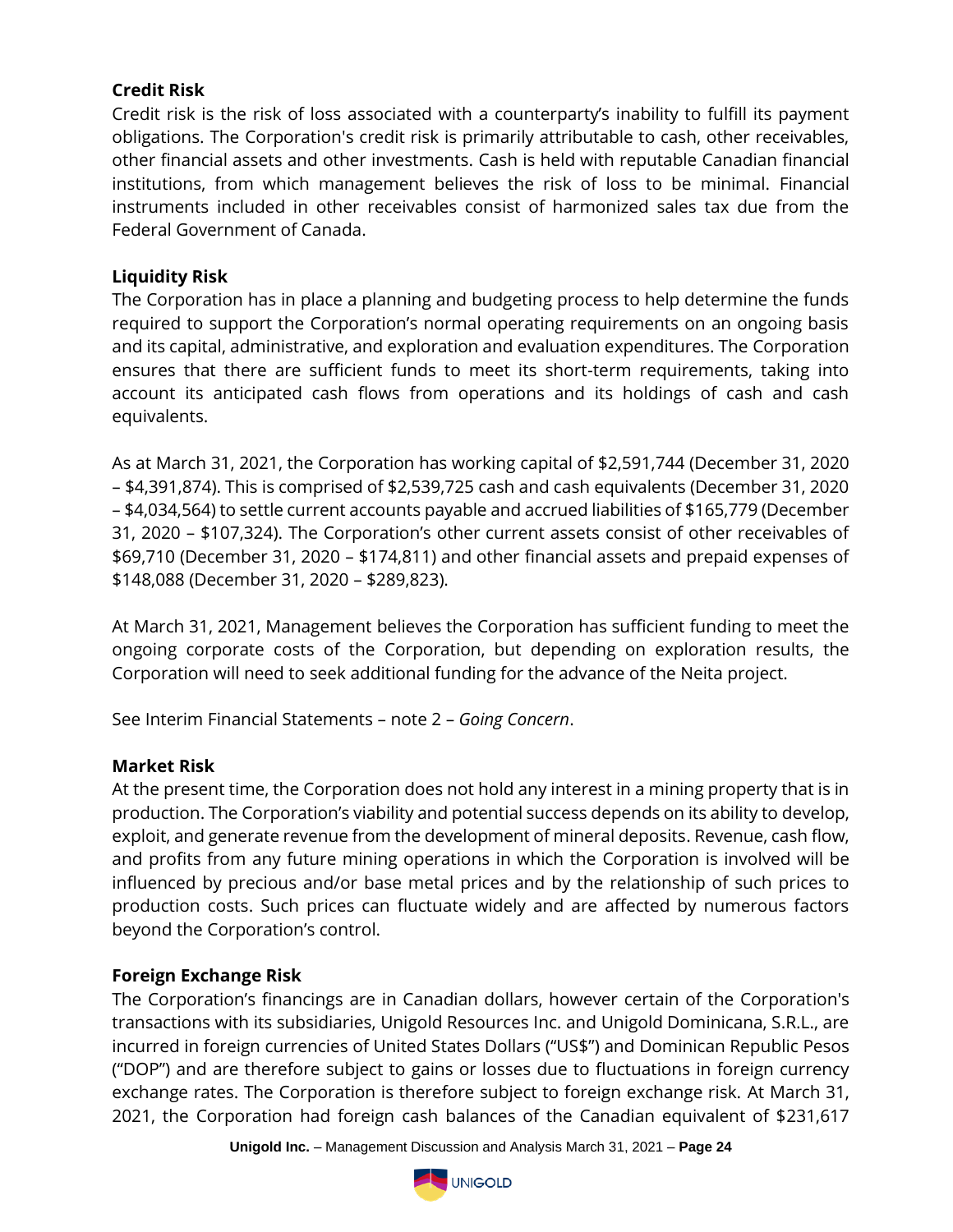# **Credit Risk**

Credit risk is the risk of loss associated with a counterparty's inability to fulfill its payment obligations. The Corporation's credit risk is primarily attributable to cash, other receivables, other financial assets and other investments. Cash is held with reputable Canadian financial institutions, from which management believes the risk of loss to be minimal. Financial instruments included in other receivables consist of harmonized sales tax due from the Federal Government of Canada.

### **Liquidity Risk**

The Corporation has in place a planning and budgeting process to help determine the funds required to support the Corporation's normal operating requirements on an ongoing basis and its capital, administrative, and exploration and evaluation expenditures. The Corporation ensures that there are sufficient funds to meet its short-term requirements, taking into account its anticipated cash flows from operations and its holdings of cash and cash equivalents.

As at March 31, 2021, the Corporation has working capital of \$2,591,744 (December 31, 2020 – \$4,391,874). This is comprised of \$2,539,725 cash and cash equivalents (December 31, 2020 – \$4,034,564) to settle current accounts payable and accrued liabilities of \$165,779 (December 31, 2020 – \$107,324). The Corporation's other current assets consist of other receivables of \$69,710 (December 31, 2020 – \$174,811) and other financial assets and prepaid expenses of \$148,088 (December 31, 2020 – \$289,823).

At March 31, 2021, Management believes the Corporation has sufficient funding to meet the ongoing corporate costs of the Corporation, but depending on exploration results, the Corporation will need to seek additional funding for the advance of the Neita project.

See Interim Financial Statements – note 2 – *Going Concern*.

### **Market Risk**

At the present time, the Corporation does not hold any interest in a mining property that is in production. The Corporation's viability and potential success depends on its ability to develop, exploit, and generate revenue from the development of mineral deposits. Revenue, cash flow, and profits from any future mining operations in which the Corporation is involved will be influenced by precious and/or base metal prices and by the relationship of such prices to production costs. Such prices can fluctuate widely and are affected by numerous factors beyond the Corporation's control.

# **Foreign Exchange Risk**

The Corporation's financings are in Canadian dollars, however certain of the Corporation's transactions with its subsidiaries, Unigold Resources Inc. and Unigold Dominicana, S.R.L., are incurred in foreign currencies of United States Dollars ("US\$") and Dominican Republic Pesos ("DOP") and are therefore subject to gains or losses due to fluctuations in foreign currency exchange rates. The Corporation is therefore subject to foreign exchange risk. At March 31, 2021, the Corporation had foreign cash balances of the Canadian equivalent of \$231,617

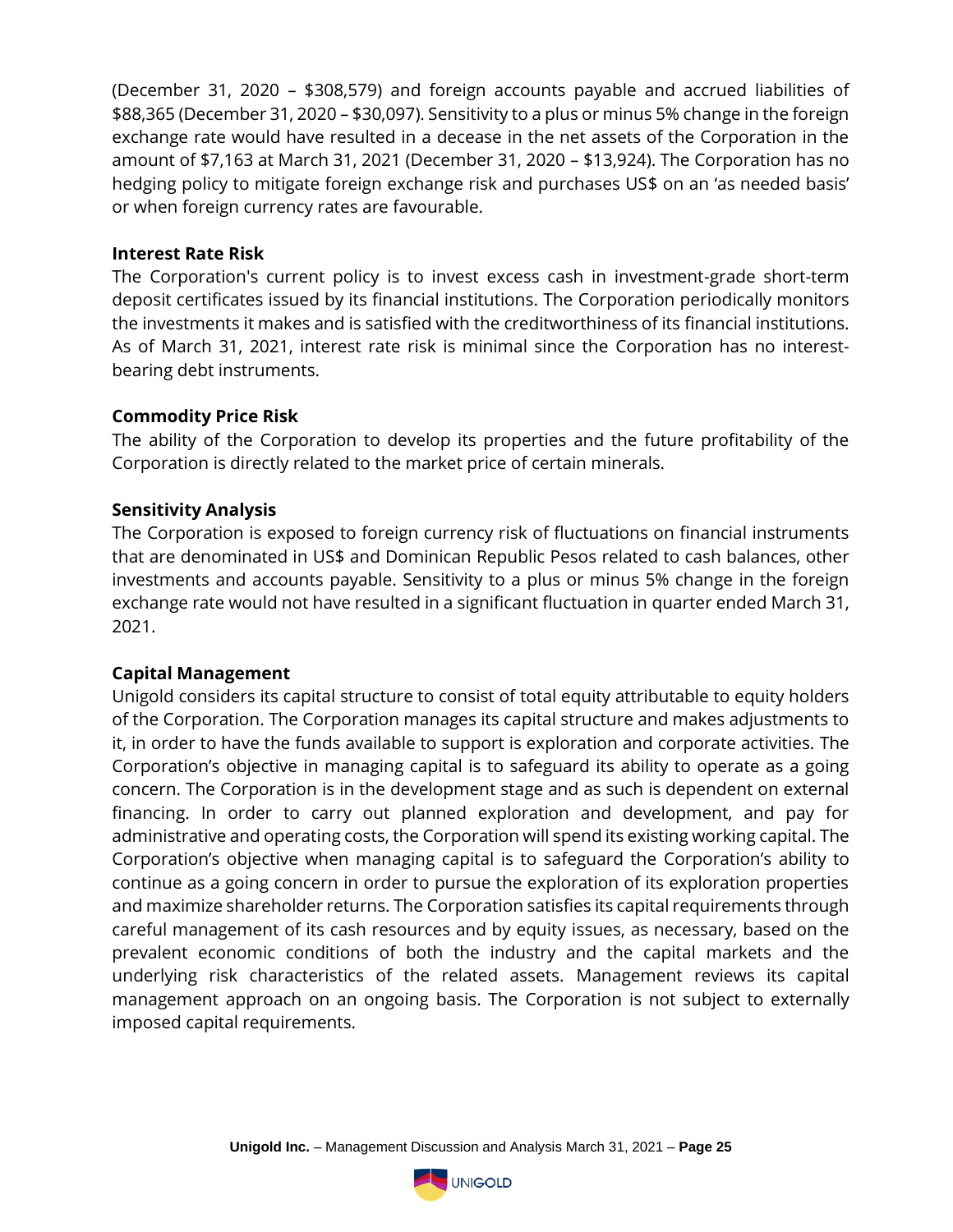(December 31, 2020 – \$308,579) and foreign accounts payable and accrued liabilities of \$88,365 (December 31, 2020 – \$30,097). Sensitivity to a plus or minus 5% change in the foreign exchange rate would have resulted in a decease in the net assets of the Corporation in the amount of \$7,163 at March 31, 2021 (December 31, 2020 – \$13,924). The Corporation has no hedging policy to mitigate foreign exchange risk and purchases US\$ on an 'as needed basis' or when foreign currency rates are favourable.

#### **Interest Rate Risk**

The Corporation's current policy is to invest excess cash in investment-grade short-term deposit certificates issued by its financial institutions. The Corporation periodically monitors the investments it makes and is satisfied with the creditworthiness of its financial institutions. As of March 31, 2021, interest rate risk is minimal since the Corporation has no interestbearing debt instruments.

#### **Commodity Price Risk**

The ability of the Corporation to develop its properties and the future profitability of the Corporation is directly related to the market price of certain minerals.

#### **Sensitivity Analysis**

The Corporation is exposed to foreign currency risk of fluctuations on financial instruments that are denominated in US\$ and Dominican Republic Pesos related to cash balances, other investments and accounts payable. Sensitivity to a plus or minus 5% change in the foreign exchange rate would not have resulted in a significant fluctuation in quarter ended March 31, 2021.

#### **Capital Management**

Unigold considers its capital structure to consist of total equity attributable to equity holders of the Corporation. The Corporation manages its capital structure and makes adjustments to it, in order to have the funds available to support is exploration and corporate activities. The Corporation's objective in managing capital is to safeguard its ability to operate as a going concern. The Corporation is in the development stage and as such is dependent on external financing. In order to carry out planned exploration and development, and pay for administrative and operating costs, the Corporation will spend its existing working capital. The Corporation's objective when managing capital is to safeguard the Corporation's ability to continue as a going concern in order to pursue the exploration of its exploration properties and maximize shareholder returns. The Corporation satisfies its capital requirements through careful management of its cash resources and by equity issues, as necessary, based on the prevalent economic conditions of both the industry and the capital markets and the underlying risk characteristics of the related assets. Management reviews its capital management approach on an ongoing basis. The Corporation is not subject to externally imposed capital requirements.

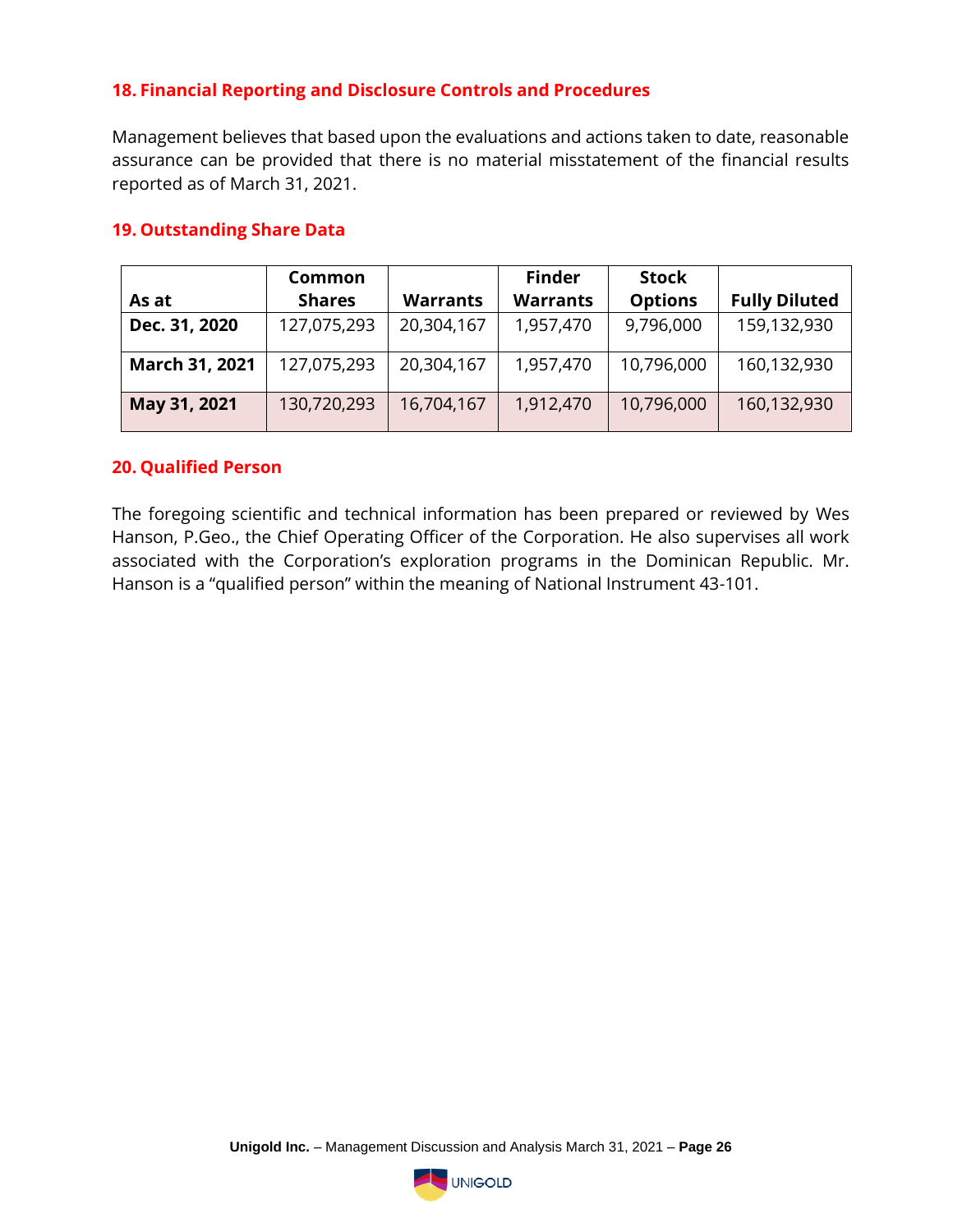## **18. Financial Reporting and Disclosure Controls and Procedures**

Management believes that based upon the evaluations and actions taken to date, reasonable assurance can be provided that there is no material misstatement of the financial results reported as of March 31, 2021.

|                | Common        |                 | <b>Finder</b>   | <b>Stock</b>   |                      |
|----------------|---------------|-----------------|-----------------|----------------|----------------------|
| As at          | <b>Shares</b> | <b>Warrants</b> | <b>Warrants</b> | <b>Options</b> | <b>Fully Diluted</b> |
| Dec. 31, 2020  | 127,075,293   | 20,304,167      | 1,957,470       | 9,796,000      | 159,132,930          |
| March 31, 2021 | 127,075,293   | 20,304,167      | 1,957,470       | 10,796,000     | 160,132,930          |
| May 31, 2021   | 130,720,293   | 16,704,167      | 1,912,470       | 10,796,000     | 160,132,930          |

#### **19. Outstanding Share Data**

#### **20. Qualified Person**

The foregoing scientific and technical information has been prepared or reviewed by Wes Hanson, P.Geo., the Chief Operating Officer of the Corporation. He also supervises all work associated with the Corporation's exploration programs in the Dominican Republic. Mr. Hanson is a "qualified person" within the meaning of National Instrument 43-101.